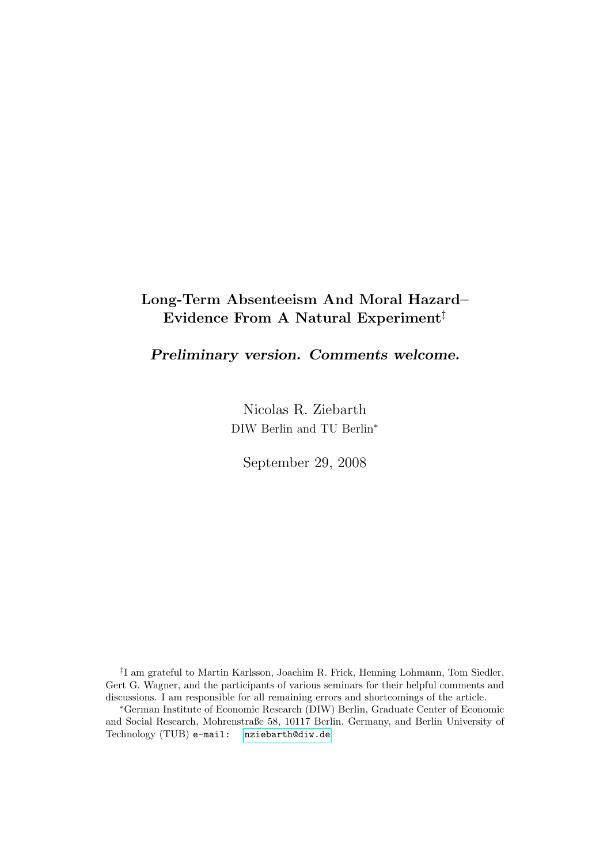## Long-Term Absenteeism And Moral Hazard– Evidence From A Natural Experiment‡

Preliminary version. Comments welcome.

Nicolas R. Ziebarth DIW Berlin and TU Berlin<sup>∗</sup>

September 29, 2008

‡ I am grateful to Martin Karlsson, Joachim R. Frick, Henning Lohmann, Tom Siedler, Gert G. Wagner, and the participants of various seminars for their helpful comments and discussions. I am responsible for all remaining errors and shortcomings of the article.

<sup>∗</sup>German Institute of Economic Research (DIW) Berlin, Graduate Center of Economic and Social Research, Mohrenstraße 58, 10117 Berlin, Germany, and Berlin University of Technology (TUB) e-mail: [nziebarth@diw.de](mailto:nziebarth@diw.de)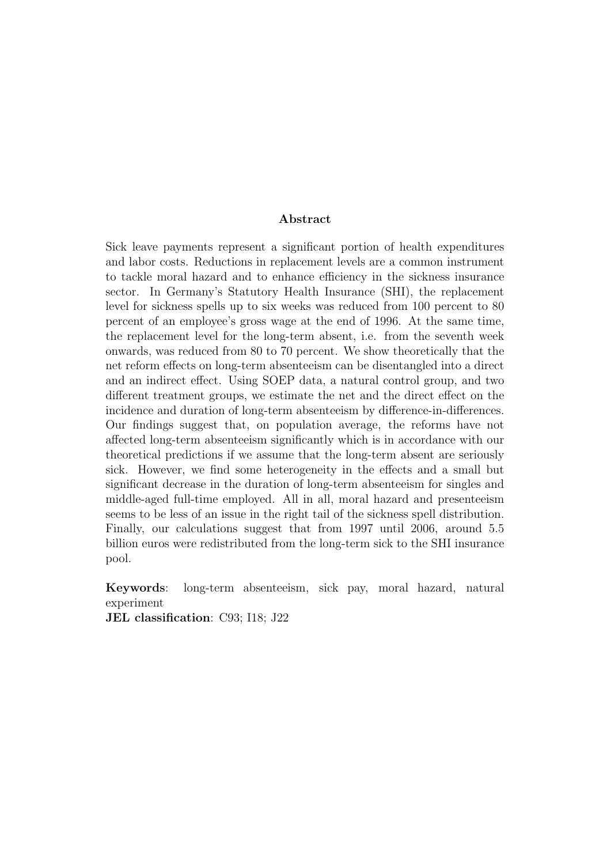#### Abstract

Sick leave payments represent a significant portion of health expenditures and labor costs. Reductions in replacement levels are a common instrument to tackle moral hazard and to enhance efficiency in the sickness insurance sector. In Germany's Statutory Health Insurance (SHI), the replacement level for sickness spells up to six weeks was reduced from 100 percent to 80 percent of an employee's gross wage at the end of 1996. At the same time, the replacement level for the long-term absent, i.e. from the seventh week onwards, was reduced from 80 to 70 percent. We show theoretically that the net reform effects on long-term absenteeism can be disentangled into a direct and an indirect effect. Using SOEP data, a natural control group, and two different treatment groups, we estimate the net and the direct effect on the incidence and duration of long-term absenteeism by difference-in-differences. Our findings suggest that, on population average, the reforms have not affected long-term absenteeism significantly which is in accordance with our theoretical predictions if we assume that the long-term absent are seriously sick. However, we find some heterogeneity in the effects and a small but significant decrease in the duration of long-term absenteeism for singles and middle-aged full-time employed. All in all, moral hazard and presenteeism seems to be less of an issue in the right tail of the sickness spell distribution. Finally, our calculations suggest that from 1997 until 2006, around 5.5 billion euros were redistributed from the long-term sick to the SHI insurance pool.

Keywords: long-term absenteeism, sick pay, moral hazard, natural experiment

JEL classification: C93; I18; J22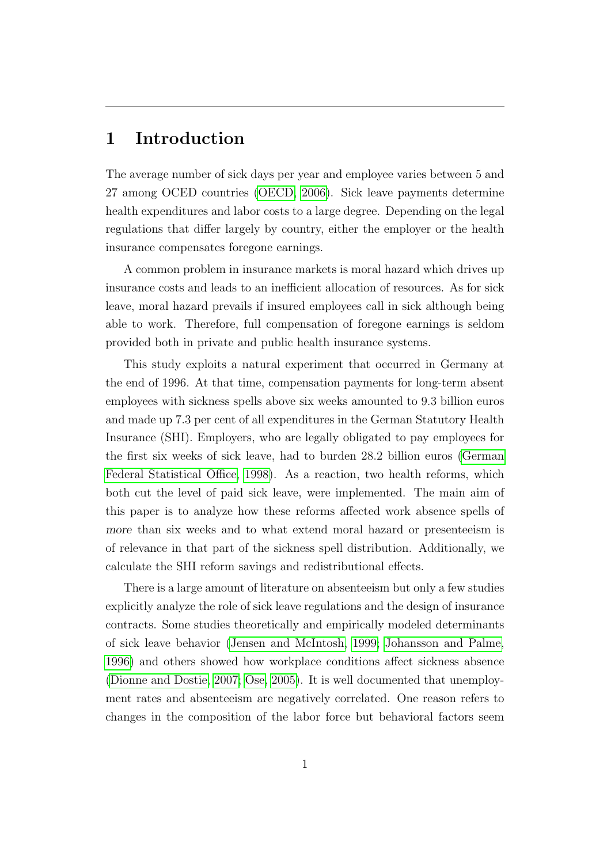# 1 Introduction

The average number of sick days per year and employee varies between 5 and 27 among OCED countries [\(OECD, 2006\)](#page-40-0). Sick leave payments determine health expenditures and labor costs to a large degree. Depending on the legal regulations that differ largely by country, either the employer or the health insurance compensates foregone earnings.

A common problem in insurance markets is moral hazard which drives up insurance costs and leads to an inefficient allocation of resources. As for sick leave, moral hazard prevails if insured employees call in sick although being able to work. Therefore, full compensation of foregone earnings is seldom provided both in private and public health insurance systems.

This study exploits a natural experiment that occurred in Germany at the end of 1996. At that time, compensation payments for long-term absent employees with sickness spells above six weeks amounted to 9.3 billion euros and made up 7.3 per cent of all expenditures in the German Statutory Health Insurance (SHI). Employers, who are legally obligated to pay employees for the first six weeks of sick leave, had to burden 28.2 billion euros [\(German](#page-39-0) [Federal Statistical Office, 1998\)](#page-39-0). As a reaction, two health reforms, which both cut the level of paid sick leave, were implemented. The main aim of this paper is to analyze how these reforms affected work absence spells of more than six weeks and to what extend moral hazard or presenteeism is of relevance in that part of the sickness spell distribution. Additionally, we calculate the SHI reform savings and redistributional effects.

There is a large amount of literature on absenteeism but only a few studies explicitly analyze the role of sick leave regulations and the design of insurance contracts. Some studies theoretically and empirically modeled determinants of sick leave behavior [\(Jensen and McIntosh, 1999;](#page-39-1) [Johansson and Palme,](#page-39-2) [1996\)](#page-39-2) and others showed how workplace conditions affect sickness absence [\(Dionne and Dostie, 2007;](#page-38-0) [Ose, 2005\)](#page-40-1). It is well documented that unemployment rates and absenteeism are negatively correlated. One reason refers to changes in the composition of the labor force but behavioral factors seem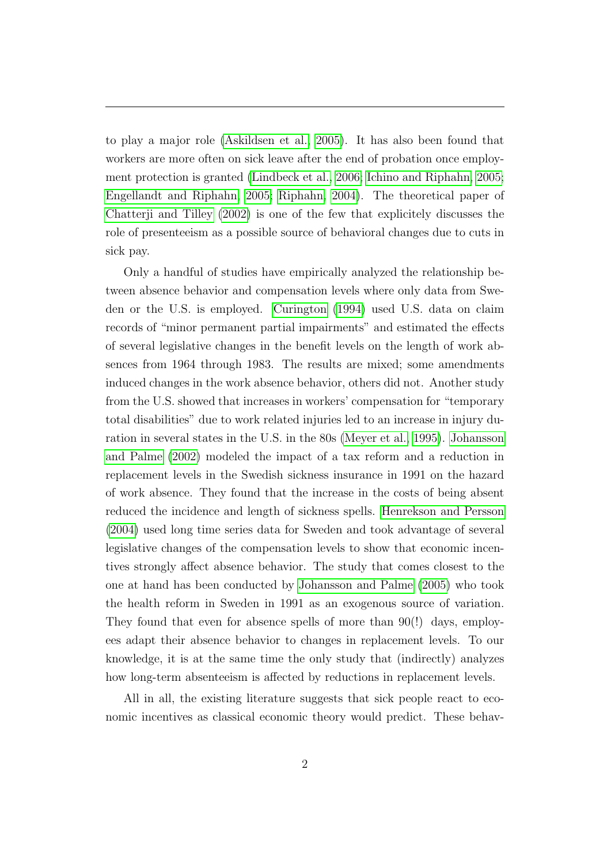to play a major role [\(Askildsen et al., 2005\)](#page-38-1). It has also been found that workers are more often on sick leave after the end of probation once employment protection is granted [\(Lindbeck et al., 2006;](#page-39-3) [Ichino and Riphahn, 2005;](#page-39-4) [Engellandt and Riphahn, 2005;](#page-38-2) [Riphahn, 2004\)](#page-40-2). The theoretical paper of [Chatterji and Tilley \(2002\)](#page-38-3) is one of the few that explicitely discusses the role of presenteeism as a possible source of behavioral changes due to cuts in sick pay.

Only a handful of studies have empirically analyzed the relationship between absence behavior and compensation levels where only data from Sweden or the U.S. is employed. [Curington \(1994\)](#page-38-4) used U.S. data on claim records of "minor permanent partial impairments" and estimated the effects of several legislative changes in the benefit levels on the length of work absences from 1964 through 1983. The results are mixed; some amendments induced changes in the work absence behavior, others did not. Another study from the U.S. showed that increases in workers' compensation for "temporary total disabilities" due to work related injuries led to an increase in injury duration in several states in the U.S. in the 80s [\(Meyer et al., 1995\)](#page-40-3). [Johansson](#page-39-5) [and Palme \(2002\)](#page-39-5) modeled the impact of a tax reform and a reduction in replacement levels in the Swedish sickness insurance in 1991 on the hazard of work absence. They found that the increase in the costs of being absent reduced the incidence and length of sickness spells. [Henrekson and Persson](#page-39-6) [\(2004\)](#page-39-6) used long time series data for Sweden and took advantage of several legislative changes of the compensation levels to show that economic incentives strongly affect absence behavior. The study that comes closest to the one at hand has been conducted by [Johansson and Palme \(2005\)](#page-39-7) who took the health reform in Sweden in 1991 as an exogenous source of variation. They found that even for absence spells of more than 90(!) days, employees adapt their absence behavior to changes in replacement levels. To our knowledge, it is at the same time the only study that (indirectly) analyzes how long-term absenteeism is affected by reductions in replacement levels.

All in all, the existing literature suggests that sick people react to economic incentives as classical economic theory would predict. These behav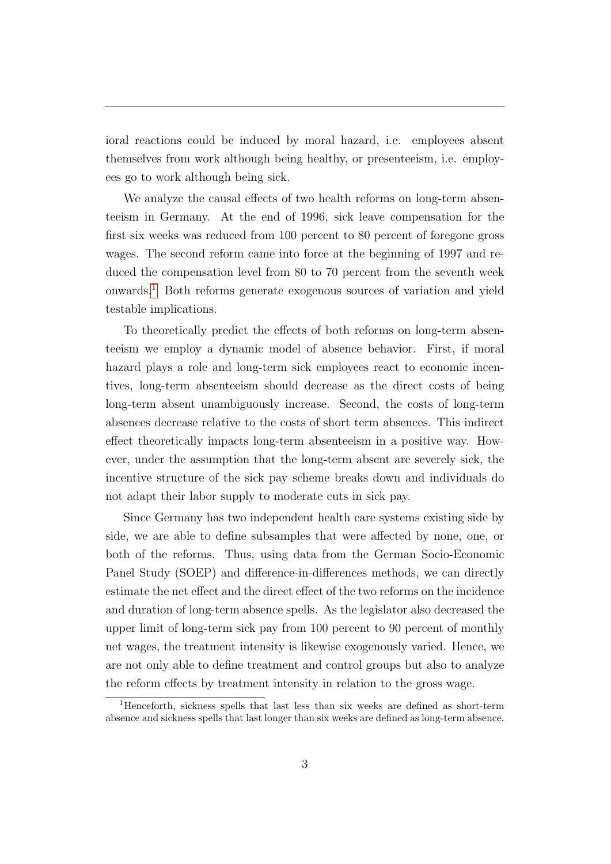ioral reactions could be induced by moral hazard, i.e. employees absent themselves from work although being healthy, or presenteeism, i.e. employees go to work although being sick.

We analyze the causal effects of two health reforms on long-term absenteeism in Germany. At the end of 1996, sick leave compensation for the first six weeks was reduced from 100 percent to 80 percent of foregone gross wages. The second reform came into force at the beginning of 1997 and reduced the compensation level from 80 to 70 percent from the seventh week onwards.[1](#page-4-0) Both reforms generate exogenous sources of variation and yield testable implications.

To theoretically predict the effects of both reforms on long-term absenteeism we employ a dynamic model of absence behavior. First, if moral hazard plays a role and long-term sick employees react to economic incentives, long-term absenteeism should decrease as the direct costs of being long-term absent unambiguously increase. Second, the costs of long-term absences decrease relative to the costs of short term absences. This indirect effect theoretically impacts long-term absenteeism in a positive way. However, under the assumption that the long-term absent are severely sick, the incentive structure of the sick pay scheme breaks down and individuals do not adapt their labor supply to moderate cuts in sick pay.

Since Germany has two independent health care systems existing side by side, we are able to define subsamples that were affected by none, one, or both of the reforms. Thus, using data from the German Socio-Economic Panel Study (SOEP) and difference-in-differences methods, we can directly estimate the net effect and the direct effect of the two reforms on the incidence and duration of long-term absence spells. As the legislator also decreased the upper limit of long-term sick pay from 100 percent to 90 percent of monthly net wages, the treatment intensity is likewise exogenously varied. Hence, we are not only able to define treatment and control groups but also to analyze the reform effects by treatment intensity in relation to the gross wage.

<span id="page-4-0"></span><sup>1</sup>Henceforth, sickness spells that last less than six weeks are defined as short-term absence and sickness spells that last longer than six weeks are defined as long-term absence.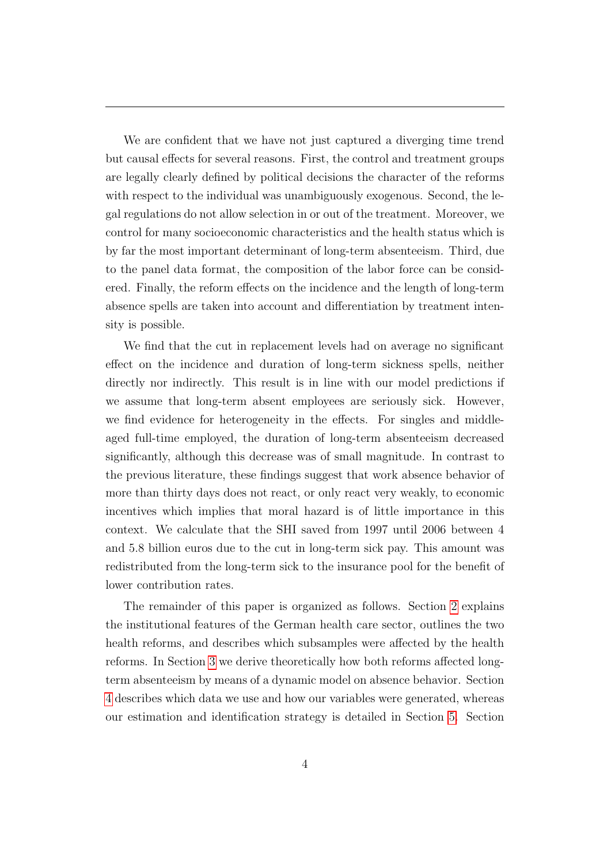We are confident that we have not just captured a diverging time trend but causal effects for several reasons. First, the control and treatment groups are legally clearly defined by political decisions the character of the reforms with respect to the individual was unambiguously exogenous. Second, the legal regulations do not allow selection in or out of the treatment. Moreover, we control for many socioeconomic characteristics and the health status which is by far the most important determinant of long-term absenteeism. Third, due to the panel data format, the composition of the labor force can be considered. Finally, the reform effects on the incidence and the length of long-term absence spells are taken into account and differentiation by treatment intensity is possible.

We find that the cut in replacement levels had on average no significant effect on the incidence and duration of long-term sickness spells, neither directly nor indirectly. This result is in line with our model predictions if we assume that long-term absent employees are seriously sick. However, we find evidence for heterogeneity in the effects. For singles and middleaged full-time employed, the duration of long-term absenteeism decreased significantly, although this decrease was of small magnitude. In contrast to the previous literature, these findings suggest that work absence behavior of more than thirty days does not react, or only react very weakly, to economic incentives which implies that moral hazard is of little importance in this context. We calculate that the SHI saved from 1997 until 2006 between 4 and 5.8 billion euros due to the cut in long-term sick pay. This amount was redistributed from the long-term sick to the insurance pool for the benefit of lower contribution rates.

The remainder of this paper is organized as follows. Section [2](#page-6-0) explains the institutional features of the German health care sector, outlines the two health reforms, and describes which subsamples were affected by the health reforms. In Section [3](#page-9-0) we derive theoretically how both reforms affected longterm absenteeism by means of a dynamic model on absence behavior. Section [4](#page-15-0) describes which data we use and how our variables were generated, whereas our estimation and identification strategy is detailed in Section [5.](#page-19-0) Section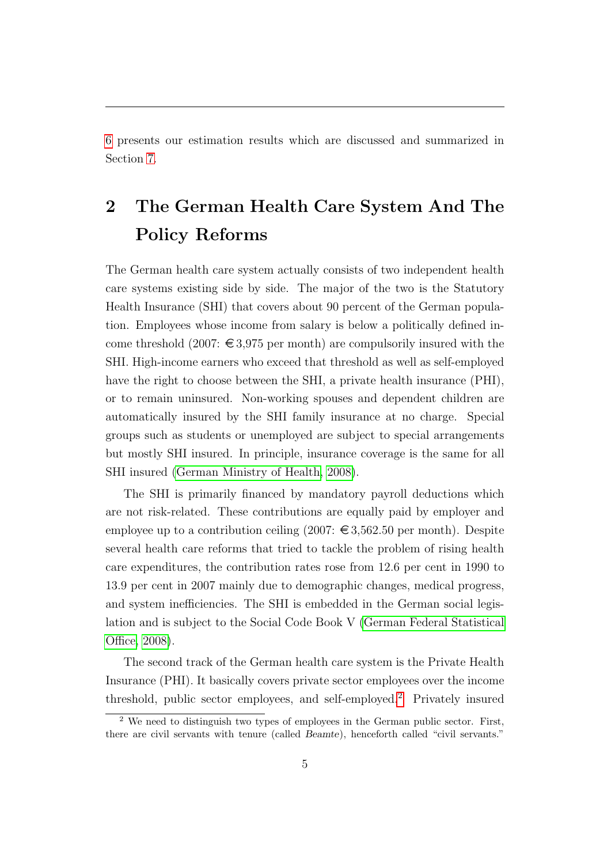[6](#page-26-0) presents our estimation results which are discussed and summarized in Section [7.](#page-35-0)

# <span id="page-6-0"></span>2 The German Health Care System And The Policy Reforms

The German health care system actually consists of two independent health care systems existing side by side. The major of the two is the Statutory Health Insurance (SHI) that covers about 90 percent of the German population. Employees whose income from salary is below a politically defined income threshold (2007:  $\epsilon$ 3,975 per month) are compulsorily insured with the SHI. High-income earners who exceed that threshold as well as self-employed have the right to choose between the SHI, a private health insurance (PHI), or to remain uninsured. Non-working spouses and dependent children are automatically insured by the SHI family insurance at no charge. Special groups such as students or unemployed are subject to special arrangements but mostly SHI insured. In principle, insurance coverage is the same for all SHI insured [\(German Ministry of Health, 2008\)](#page-39-8).

The SHI is primarily financed by mandatory payroll deductions which are not risk-related. These contributions are equally paid by employer and employee up to a contribution ceiling  $(2007: \epsilon \in \mathfrak{3}, 562.50 \text{ per month})$ . Despite several health care reforms that tried to tackle the problem of rising health care expenditures, the contribution rates rose from 12.6 per cent in 1990 to 13.9 per cent in 2007 mainly due to demographic changes, medical progress, and system inefficiencies. The SHI is embedded in the German social legislation and is subject to the Social Code Book V [\(German Federal Statistical](#page-39-9) [Office, 2008\)](#page-39-9).

The second track of the German health care system is the Private Health Insurance (PHI). It basically covers private sector employees over the income threshold, public sector employees, and self-employed.[2](#page-6-1) Privately insured

<span id="page-6-1"></span><sup>2</sup> We need to distinguish two types of employees in the German public sector. First, there are civil servants with tenure (called Beamte), henceforth called "civil servants."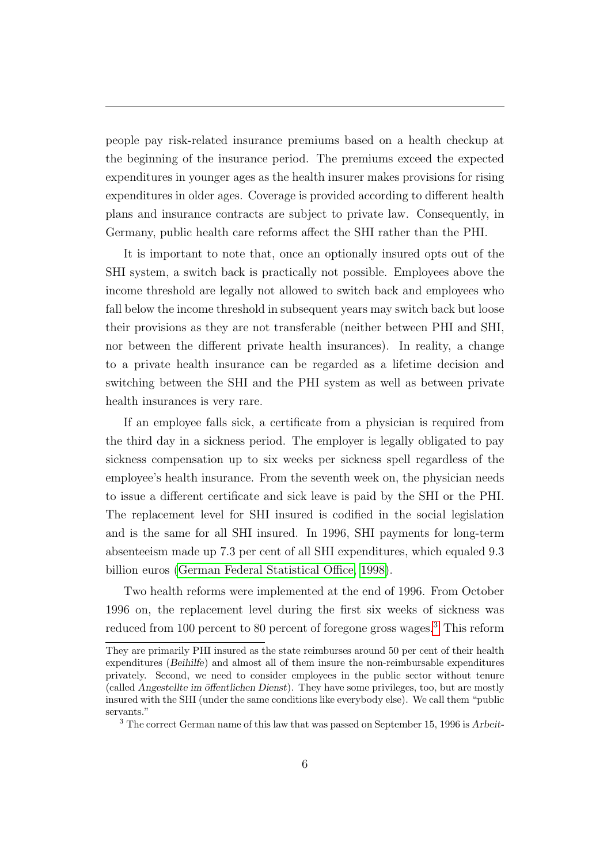people pay risk-related insurance premiums based on a health checkup at the beginning of the insurance period. The premiums exceed the expected expenditures in younger ages as the health insurer makes provisions for rising expenditures in older ages. Coverage is provided according to different health plans and insurance contracts are subject to private law. Consequently, in Germany, public health care reforms affect the SHI rather than the PHI.

It is important to note that, once an optionally insured opts out of the SHI system, a switch back is practically not possible. Employees above the income threshold are legally not allowed to switch back and employees who fall below the income threshold in subsequent years may switch back but loose their provisions as they are not transferable (neither between PHI and SHI, nor between the different private health insurances). In reality, a change to a private health insurance can be regarded as a lifetime decision and switching between the SHI and the PHI system as well as between private health insurances is very rare.

If an employee falls sick, a certificate from a physician is required from the third day in a sickness period. The employer is legally obligated to pay sickness compensation up to six weeks per sickness spell regardless of the employee's health insurance. From the seventh week on, the physician needs to issue a different certificate and sick leave is paid by the SHI or the PHI. The replacement level for SHI insured is codified in the social legislation and is the same for all SHI insured. In 1996, SHI payments for long-term absenteeism made up 7.3 per cent of all SHI expenditures, which equaled 9.3 billion euros [\(German Federal Statistical Office, 1998\)](#page-39-0).

Two health reforms were implemented at the end of 1996. From October 1996 on, the replacement level during the first six weeks of sickness was reduced from 100 percent to 80 percent of foregone gross wages.<sup>[3](#page-7-0)</sup> This reform

They are primarily PHI insured as the state reimburses around 50 per cent of their health expenditures (Beihilfe) and almost all of them insure the non-reimbursable expenditures privately. Second, we need to consider employees in the public sector without tenure (called Angestellte im öffentlichen Dienst). They have some privileges, too, but are mostly insured with the SHI (under the same conditions like everybody else). We call them "public servants."

<span id="page-7-0"></span><sup>3</sup> The correct German name of this law that was passed on September 15, 1996 is Arbeit-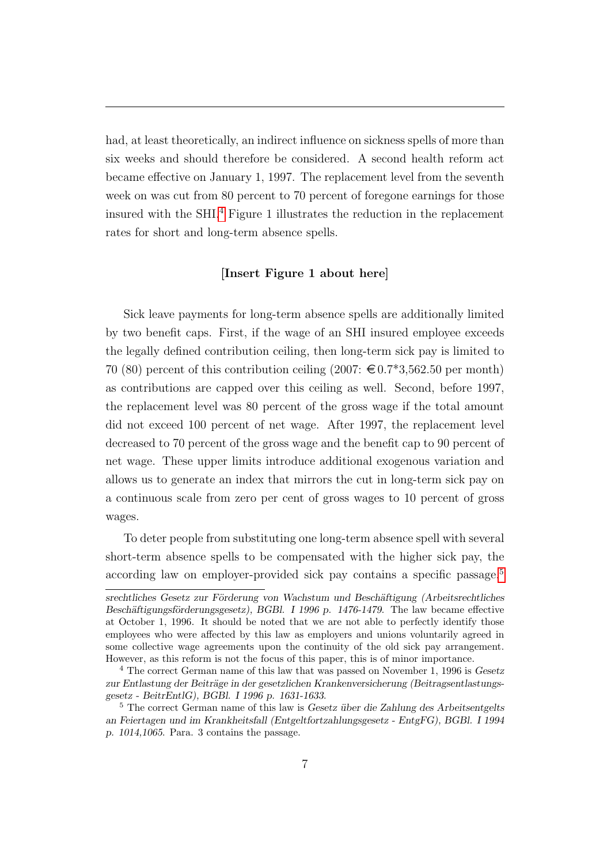had, at least theoretically, an indirect influence on sickness spells of more than six weeks and should therefore be considered. A second health reform act became effective on January 1, 1997. The replacement level from the seventh week on was cut from 80 percent to 70 percent of foregone earnings for those insured with the SHI.[4](#page-8-0) Figure 1 illustrates the reduction in the replacement rates for short and long-term absence spells.

#### [Insert Figure 1 about here]

Sick leave payments for long-term absence spells are additionally limited by two benefit caps. First, if the wage of an SHI insured employee exceeds the legally defined contribution ceiling, then long-term sick pay is limited to 70 (80) percent of this contribution ceiling  $(2007: \text{\textsterling} 0.7^*3, 562.50 \text{ per month})$ as contributions are capped over this ceiling as well. Second, before 1997, the replacement level was 80 percent of the gross wage if the total amount did not exceed 100 percent of net wage. After 1997, the replacement level decreased to 70 percent of the gross wage and the benefit cap to 90 percent of net wage. These upper limits introduce additional exogenous variation and allows us to generate an index that mirrors the cut in long-term sick pay on a continuous scale from zero per cent of gross wages to 10 percent of gross wages.

To deter people from substituting one long-term absence spell with several short-term absence spells to be compensated with the higher sick pay, the according law on employer-provided sick pay contains a specific passage.<sup>[5](#page-8-1)</sup>

srechtliches Gesetz zur Förderung von Wachstum und Beschäftigung (Arbeitsrechtliches Beschäftigungsförderungsgesetz), BGBl. I 1996 p. 1476-1479. The law became effective at October 1, 1996. It should be noted that we are not able to perfectly identify those employees who were affected by this law as employers and unions voluntarily agreed in some collective wage agreements upon the continuity of the old sick pay arrangement. However, as this reform is not the focus of this paper, this is of minor importance.

<span id="page-8-0"></span><sup>4</sup> The correct German name of this law that was passed on November 1, 1996 is Gesetz zur Entlastung der Beiträge in der gesetzlichen Krankenversicherung (Beitragsentlastungsgesetz - BeitrEntlG), BGBl. I 1996 p. 1631-1633.

<span id="page-8-1"></span> $5$  The correct German name of this law is Gesetz über die Zahlung des Arbeitsentgelts an Feiertagen und im Krankheitsfall (Entgeltfortzahlungsgesetz - EntgFG), BGBl. I 1994 p. 1014,1065. Para. 3 contains the passage.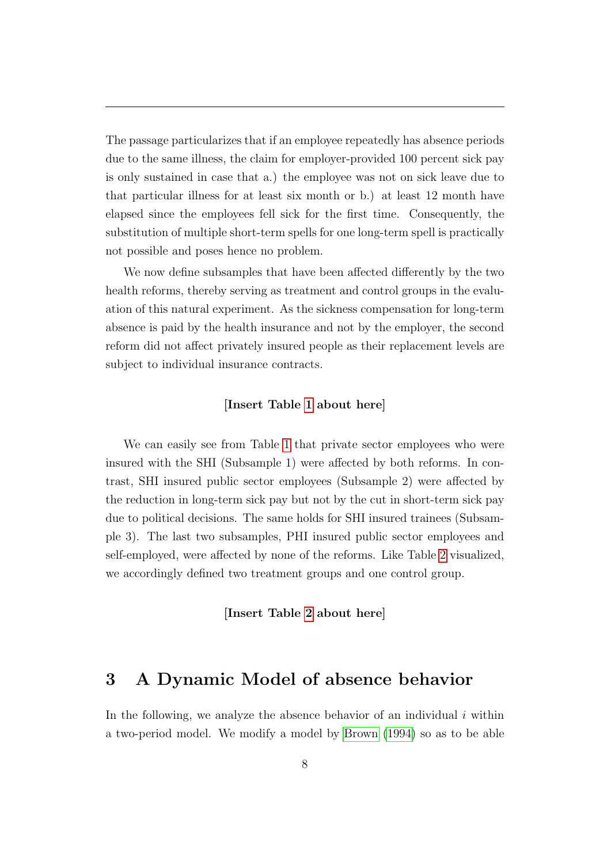The passage particularizes that if an employee repeatedly has absence periods due to the same illness, the claim for employer-provided 100 percent sick pay is only sustained in case that a.) the employee was not on sick leave due to that particular illness for at least six month or b.) at least 12 month have elapsed since the employees fell sick for the first time. Consequently, the substitution of multiple short-term spells for one long-term spell is practically not possible and poses hence no problem.

We now define subsamples that have been affected differently by the two health reforms, thereby serving as treatment and control groups in the evaluation of this natural experiment. As the sickness compensation for long-term absence is paid by the health insurance and not by the employer, the second reform did not affect privately insured people as their replacement levels are subject to individual insurance contracts.

### [Insert Table [1](#page-42-0) about here]

We can easily see from Table [1](#page-42-0) that private sector employees who were insured with the SHI (Subsample 1) were affected by both reforms. In contrast, SHI insured public sector employees (Subsample 2) were affected by the reduction in long-term sick pay but not by the cut in short-term sick pay due to political decisions. The same holds for SHI insured trainees (Subsample 3). The last two subsamples, PHI insured public sector employees and self-employed, were affected by none of the reforms. Like Table [2](#page-43-0) visualized, we accordingly defined two treatment groups and one control group.

[Insert Table [2](#page-43-0) about here]

## <span id="page-9-0"></span>3 A Dynamic Model of absence behavior

In the following, we analyze the absence behavior of an individual  $i$  within a two-period model. We modify a model by [Brown \(1994\)](#page-38-5) so as to be able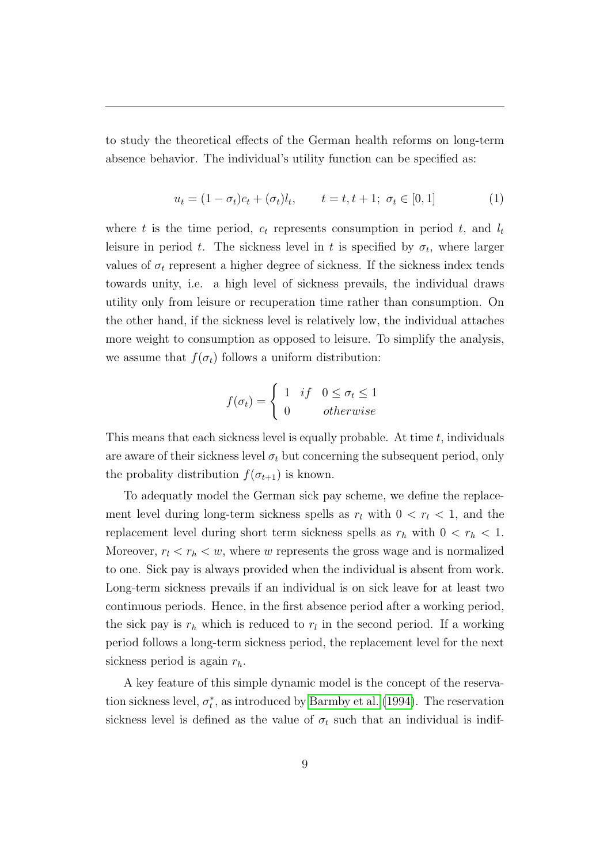to study the theoretical effects of the German health reforms on long-term absence behavior. The individual's utility function can be specified as:

$$
u_t = (1 - \sigma_t)c_t + (\sigma_t)l_t, \qquad t = t, t + 1; \ \sigma_t \in [0, 1]
$$
 (1)

where t is the time period,  $c_t$  represents consumption in period t, and  $l_t$ leisure in period t. The sickness level in t is specified by  $\sigma_t$ , where larger values of  $\sigma_t$  represent a higher degree of sickness. If the sickness index tends towards unity, i.e. a high level of sickness prevails, the individual draws utility only from leisure or recuperation time rather than consumption. On the other hand, if the sickness level is relatively low, the individual attaches more weight to consumption as opposed to leisure. To simplify the analysis, we assume that  $f(\sigma_t)$  follows a uniform distribution:

$$
f(\sigma_t) = \begin{cases} 1 & \text{if} \quad 0 \le \sigma_t \le 1 \\ 0 & \text{otherwise} \end{cases}
$$

This means that each sickness level is equally probable. At time  $t$ , individuals are aware of their sickness level  $\sigma_t$  but concerning the subsequent period, only the probality distribution  $f(\sigma_{t+1})$  is known.

To adequatly model the German sick pay scheme, we define the replacement level during long-term sickness spells as  $r_l$  with  $0 < r_l < 1$ , and the replacement level during short term sickness spells as  $r_h$  with  $0 < r_h < 1$ . Moreover,  $r_l < r_h < w$ , where w represents the gross wage and is normalized to one. Sick pay is always provided when the individual is absent from work. Long-term sickness prevails if an individual is on sick leave for at least two continuous periods. Hence, in the first absence period after a working period, the sick pay is  $r_h$  which is reduced to  $r_l$  in the second period. If a working period follows a long-term sickness period, the replacement level for the next sickness period is again  $r_h$ .

A key feature of this simple dynamic model is the concept of the reservation sickness level,  $\sigma_t^*$ , as introduced by [Barmby et al. \(1994\)](#page-38-6). The reservation sickness level is defined as the value of  $\sigma_t$  such that an individual is indif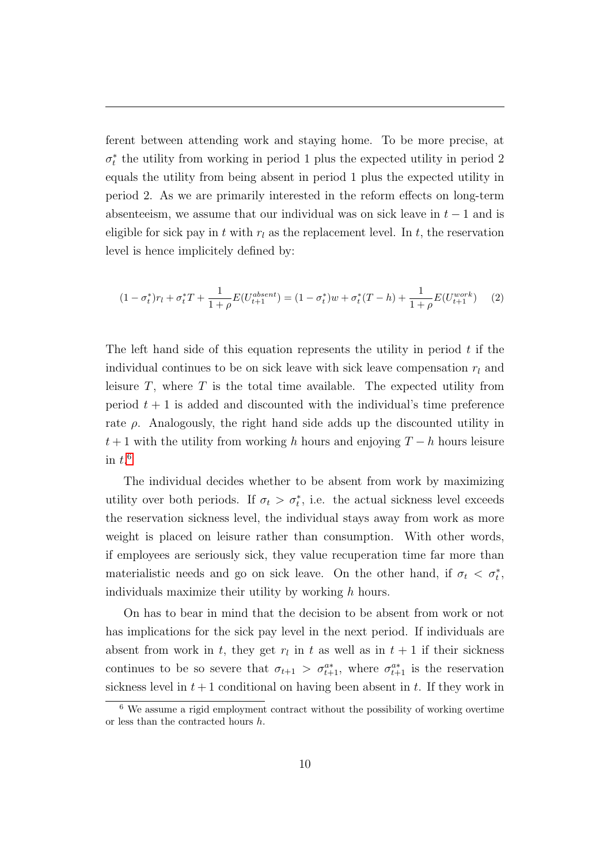ferent between attending work and staying home. To be more precise, at  $\sigma_t^*$  the utility from working in period 1 plus the expected utility in period 2 equals the utility from being absent in period 1 plus the expected utility in period 2. As we are primarily interested in the reform effects on long-term absenteeism, we assume that our individual was on sick leave in  $t - 1$  and is eligible for sick pay in t with  $r_l$  as the replacement level. In t, the reservation level is hence implicitely defined by:

$$
(1 - \sigma_t^*)r_l + \sigma_t^*T + \frac{1}{1 + \rho}E(U_{t+1}^{absent}) = (1 - \sigma_t^*)w + \sigma_t^*(T - h) + \frac{1}{1 + \rho}E(U_{t+1}^{work})
$$
(2)

The left hand side of this equation represents the utility in period  $t$  if the individual continues to be on sick leave with sick leave compensation  $r_l$  and leisure  $T$ , where  $T$  is the total time available. The expected utility from period  $t + 1$  is added and discounted with the individual's time preference rate  $\rho$ . Analogously, the right hand side adds up the discounted utility in  $t + 1$  with the utility from working h hours and enjoying  $T - h$  hours leisure in  $t.^6$  $t.^6$ 

The individual decides whether to be absent from work by maximizing utility over both periods. If  $\sigma_t > \sigma_t^*$ , i.e. the actual sickness level exceeds the reservation sickness level, the individual stays away from work as more weight is placed on leisure rather than consumption. With other words, if employees are seriously sick, they value recuperation time far more than materialistic needs and go on sick leave. On the other hand, if  $\sigma_t < \sigma_t^*$ , individuals maximize their utility by working  $h$  hours.

On has to bear in mind that the decision to be absent from work or not has implications for the sick pay level in the next period. If individuals are absent from work in t, they get  $r_l$  in t as well as in  $t + 1$  if their sickness continues to be so severe that  $\sigma_{t+1} > \sigma_{t+1}^{a*}$ , where  $\sigma_{t+1}^{a*}$  is the reservation sickness level in  $t+1$  conditional on having been absent in t. If they work in

<span id="page-11-0"></span><sup>6</sup> We assume a rigid employment contract without the possibility of working overtime or less than the contracted hours  $h$ .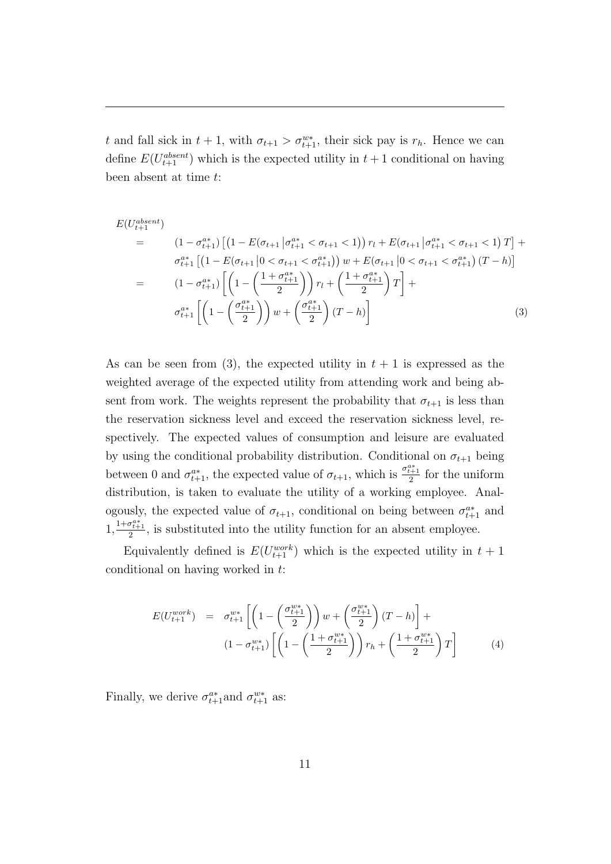t and fall sick in  $t + 1$ , with  $\sigma_{t+1} > \sigma_{t+1}^{w*}$ , their sick pay is  $r_h$ . Hence we can define  $E(U_{t+1}^{absent})$  which is the expected utility in  $t + 1$  conditional on having been absent at time t:

$$
E(U_{t+1}^{absent})
$$
\n
$$
= (1 - \sigma_{t+1}^{a*}) \left[ \left( 1 - E(\sigma_{t+1} | \sigma_{t+1}^{a*} < \sigma_{t+1} < 1) \right) r_l + E(\sigma_{t+1} | \sigma_{t+1}^{a*} < \sigma_{t+1} < 1) T \right] + \sigma_{t+1}^{a*} \left[ \left( 1 - E(\sigma_{t+1} | 0 < \sigma_{t+1} < \sigma_{t+1}^{a*}) \right) w + E(\sigma_{t+1} | 0 < \sigma_{t+1} < \sigma_{t+1}^{a*}) (T - h) \right]
$$
\n
$$
= (1 - \sigma_{t+1}^{a*}) \left[ \left( 1 - \left( \frac{1 + \sigma_{t+1}^{a*}}{2} \right) \right) r_l + \left( \frac{1 + \sigma_{t+1}^{a*}}{2} \right) T \right] + \sigma_{t+1}^{a*} \left[ \left( 1 - \left( \frac{\sigma_{t+1}^{a*}}{2} \right) \right) w + \left( \frac{\sigma_{t+1}^{a*}}{2} \right) (T - h) \right] \tag{3}
$$

As can be seen from (3), the expected utility in  $t + 1$  is expressed as the weighted average of the expected utility from attending work and being absent from work. The weights represent the probability that  $\sigma_{t+1}$  is less than the reservation sickness level and exceed the reservation sickness level, respectively. The expected values of consumption and leisure are evaluated by using the conditional probability distribution. Conditional on  $\sigma_{t+1}$  being between 0 and  $\sigma_{t+1}^{a*}$ , the expected value of  $\sigma_{t+1}$ , which is  $\frac{\sigma_{t+1}^{a*}}{2}$  for the uniform distribution, is taken to evaluate the utility of a working employee. Analogously, the expected value of  $\sigma_{t+1}$ , conditional on being between  $\sigma_{t+1}^{a*}$  and  $1, \frac{1+\sigma_{t+1}^{a*}}{2}$ , is substituted into the utility function for an absent employee.

Equivalently defined is  $E(U_{t+1}^{work})$  which is the expected utility in  $t + 1$ conditional on having worked in t:

$$
E(U_{t+1}^{work}) = \sigma_{t+1}^{w*} \left[ \left( 1 - \left( \frac{\sigma_{t+1}^{w*}}{2} \right) \right) w + \left( \frac{\sigma_{t+1}^{w*}}{2} \right) (T - h) \right] +
$$
  

$$
(1 - \sigma_{t+1}^{w*}) \left[ \left( 1 - \left( \frac{1 + \sigma_{t+1}^{w*}}{2} \right) \right) r_h + \left( \frac{1 + \sigma_{t+1}^{w*}}{2} \right) T \right] \tag{4}
$$

Finally, we derive  $\sigma_{t+1}^{a*}$  and  $\sigma_{t+1}^{w*}$  as: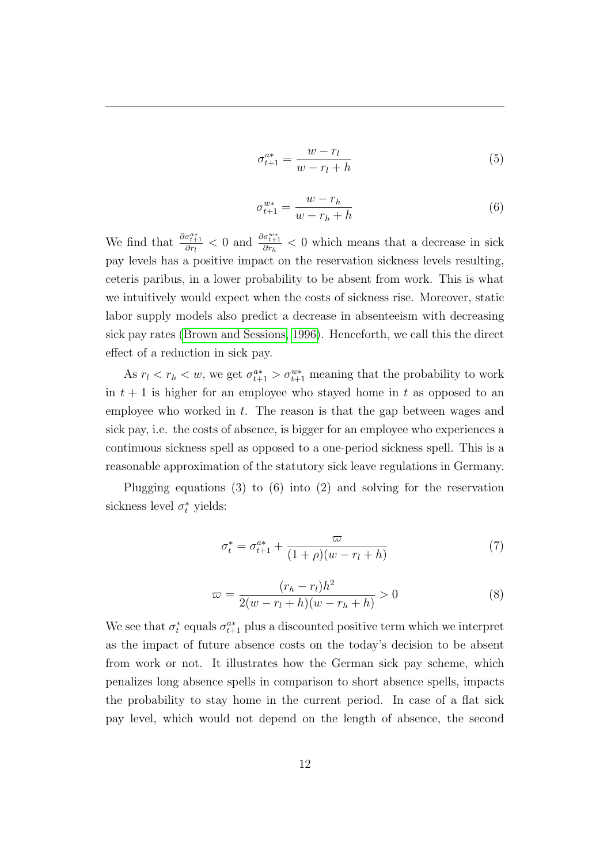$$
\sigma_{t+1}^{a*} = \frac{w - r_l}{w - r_l + h} \tag{5}
$$

$$
\sigma_{t+1}^{w*} = \frac{w - r_h}{w - r_h + h} \tag{6}
$$

We find that  $\frac{\partial \sigma_{t+1}^{a*}}{\partial r_l} < 0$  and  $\frac{\partial \sigma_{t+1}^{w*}}{\partial r_h} < 0$  which means that a decrease in sick pay levels has a positive impact on the reservation sickness levels resulting, ceteris paribus, in a lower probability to be absent from work. This is what we intuitively would expect when the costs of sickness rise. Moreover, static labor supply models also predict a decrease in absenteeism with decreasing sick pay rates [\(Brown and Sessions, 1996\)](#page-38-7). Henceforth, we call this the direct effect of a reduction in sick pay.

As  $r_l < r_h < w$ , we get  $\sigma_{t+1}^{a*} > \sigma_{t+1}^{w*}$  meaning that the probability to work in  $t + 1$  is higher for an employee who stayed home in t as opposed to an employee who worked in  $t$ . The reason is that the gap between wages and sick pay, i.e. the costs of absence, is bigger for an employee who experiences a continuous sickness spell as opposed to a one-period sickness spell. This is a reasonable approximation of the statutory sick leave regulations in Germany.

Plugging equations (3) to (6) into (2) and solving for the reservation sickness level  $\sigma_t^*$  yields:

$$
\sigma_t^* = \sigma_{t+1}^{a*} + \frac{\varpi}{(1+\rho)(w - r_l + h)}
$$
(7)

$$
\varpi = \frac{(r_h - r_l)h^2}{2(w - r_l + h)(w - r_h + h)} > 0
$$
\n(8)

We see that  $\sigma_t^*$  equals  $\sigma_{t+1}^{a*}$  plus a discounted positive term which we interpret as the impact of future absence costs on the today's decision to be absent from work or not. It illustrates how the German sick pay scheme, which penalizes long absence spells in comparison to short absence spells, impacts the probability to stay home in the current period. In case of a flat sick pay level, which would not depend on the length of absence, the second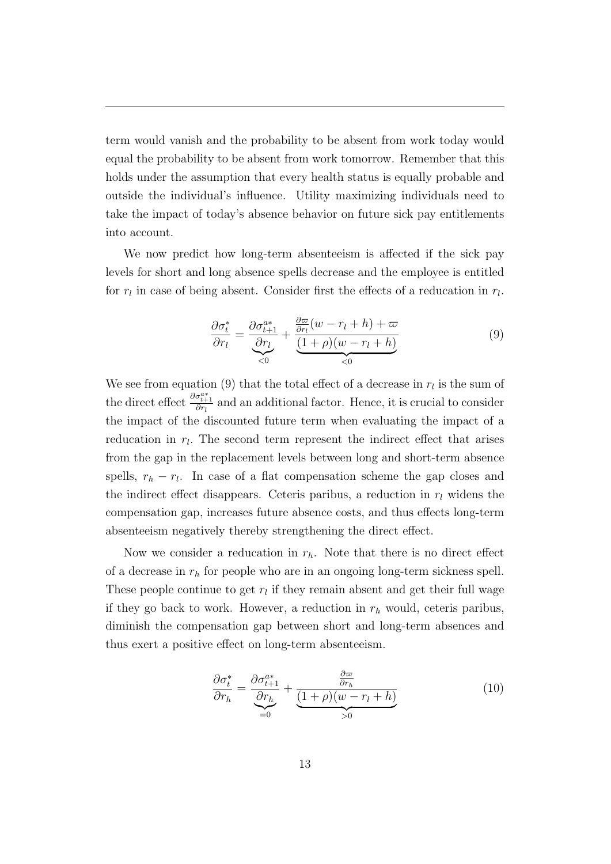term would vanish and the probability to be absent from work today would equal the probability to be absent from work tomorrow. Remember that this holds under the assumption that every health status is equally probable and outside the individual's influence. Utility maximizing individuals need to take the impact of today's absence behavior on future sick pay entitlements into account.

We now predict how long-term absenteeism is affected if the sick pay levels for short and long absence spells decrease and the employee is entitled for  $r_l$  in case of being absent. Consider first the effects of a reducation in  $r_l$ .

$$
\frac{\partial \sigma_t^*}{\partial r_l} = \underbrace{\frac{\partial \sigma_{t+1}^{a*}}{\partial r_l}}_{< 0} + \underbrace{\frac{\partial \varpi}{\partial r_l}(w - r_l + h) + \varpi}_{< 0} \tag{9}
$$

We see from equation (9) that the total effect of a decrease in  $r_l$  is the sum of the direct effect  $\frac{\partial \sigma_{t+1}^{a*}}{\partial r_l}$  and an additional factor. Hence, it is crucial to consider the impact of the discounted future term when evaluating the impact of a reducation in  $r_l$ . The second term represent the indirect effect that arises from the gap in the replacement levels between long and short-term absence spells,  $r_h - r_l$ . In case of a flat compensation scheme the gap closes and the indirect effect disappears. Ceteris paribus, a reduction in  $r_l$  widens the compensation gap, increases future absence costs, and thus effects long-term absenteeism negatively thereby strengthening the direct effect.

Now we consider a reducation in  $r_h$ . Note that there is no direct effect of a decrease in  $r<sub>h</sub>$  for people who are in an ongoing long-term sickness spell. These people continue to get  $r_l$  if they remain absent and get their full wage if they go back to work. However, a reduction in  $r_h$  would, ceteris paribus, diminish the compensation gap between short and long-term absences and thus exert a positive effect on long-term absenteeism.

$$
\frac{\partial \sigma_t^*}{\partial r_h} = \underbrace{\frac{\partial \sigma_{t+1}^{a*}}{\partial r_h}}_{=0} + \underbrace{\frac{\frac{\partial \varpi}{\partial r_h}}{(1+\rho)(w-r_l+h)}}_{>0} \tag{10}
$$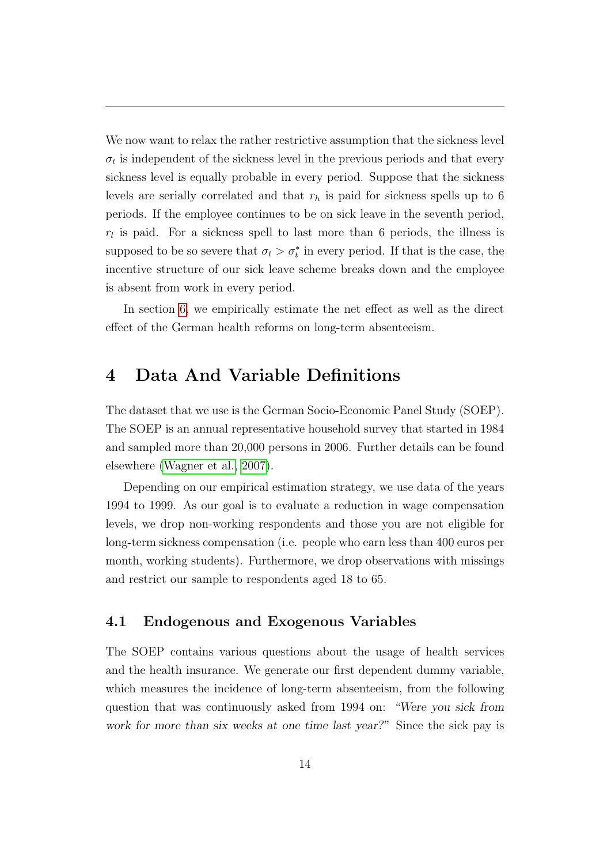We now want to relax the rather restrictive assumption that the sickness level  $\sigma_t$  is independent of the sickness level in the previous periods and that every sickness level is equally probable in every period. Suppose that the sickness levels are serially correlated and that  $r<sub>h</sub>$  is paid for sickness spells up to 6 periods. If the employee continues to be on sick leave in the seventh period,  $r_l$  is paid. For a sickness spell to last more than 6 periods, the illness is supposed to be so severe that  $\sigma_t > \sigma_t^*$  in every period. If that is the case, the incentive structure of our sick leave scheme breaks down and the employee is absent from work in every period.

In section [6,](#page-26-0) we empirically estimate the net effect as well as the direct effect of the German health reforms on long-term absenteeism.

# <span id="page-15-0"></span>4 Data And Variable Definitions

The dataset that we use is the German Socio-Economic Panel Study (SOEP). The SOEP is an annual representative household survey that started in 1984 and sampled more than 20,000 persons in 2006. Further details can be found elsewhere [\(Wagner et al., 2007\)](#page-40-4).

Depending on our empirical estimation strategy, we use data of the years 1994 to 1999. As our goal is to evaluate a reduction in wage compensation levels, we drop non-working respondents and those you are not eligible for long-term sickness compensation (i.e. people who earn less than 400 euros per month, working students). Furthermore, we drop observations with missings and restrict our sample to respondents aged 18 to 65.

### 4.1 Endogenous and Exogenous Variables

The SOEP contains various questions about the usage of health services and the health insurance. We generate our first dependent dummy variable, which measures the incidence of long-term absenteeism, from the following question that was continuously asked from 1994 on: "Were you sick from work for more than six weeks at one time last year?" Since the sick pay is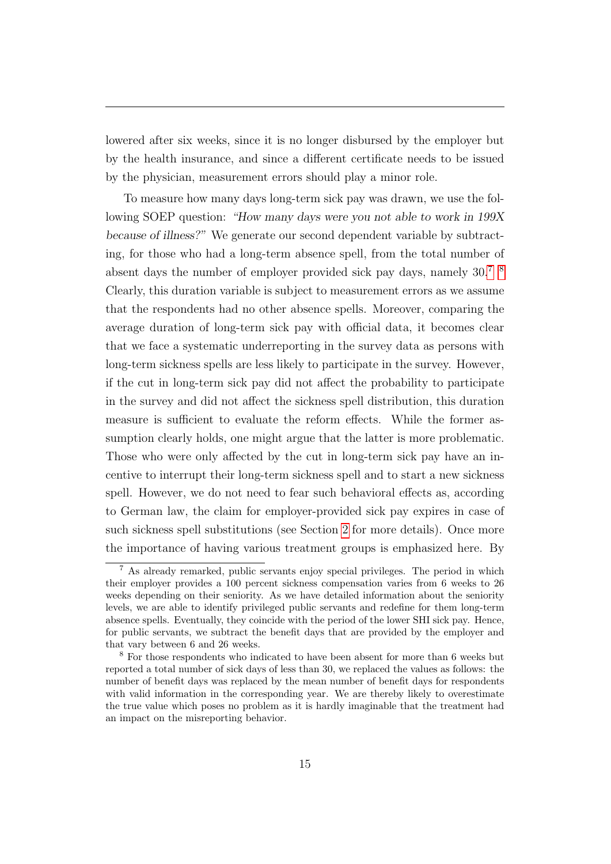lowered after six weeks, since it is no longer disbursed by the employer but by the health insurance, and since a different certificate needs to be issued by the physician, measurement errors should play a minor role.

To measure how many days long-term sick pay was drawn, we use the following SOEP question: "How many days were you not able to work in 199X because of illness?" We generate our second dependent variable by subtracting, for those who had a long-term absence spell, from the total number of absent days the number of employer provided sick pay days, namely 30.[7](#page-16-0) [8](#page-16-1) Clearly, this duration variable is subject to measurement errors as we assume that the respondents had no other absence spells. Moreover, comparing the average duration of long-term sick pay with official data, it becomes clear that we face a systematic underreporting in the survey data as persons with long-term sickness spells are less likely to participate in the survey. However, if the cut in long-term sick pay did not affect the probability to participate in the survey and did not affect the sickness spell distribution, this duration measure is sufficient to evaluate the reform effects. While the former assumption clearly holds, one might argue that the latter is more problematic. Those who were only affected by the cut in long-term sick pay have an incentive to interrupt their long-term sickness spell and to start a new sickness spell. However, we do not need to fear such behavioral effects as, according to German law, the claim for employer-provided sick pay expires in case of such sickness spell substitutions (see Section [2](#page-6-0) for more details). Once more the importance of having various treatment groups is emphasized here. By

<span id="page-16-0"></span><sup>7</sup> As already remarked, public servants enjoy special privileges. The period in which their employer provides a 100 percent sickness compensation varies from 6 weeks to 26 weeks depending on their seniority. As we have detailed information about the seniority levels, we are able to identify privileged public servants and redefine for them long-term absence spells. Eventually, they coincide with the period of the lower SHI sick pay. Hence, for public servants, we subtract the benefit days that are provided by the employer and that vary between 6 and 26 weeks.

<span id="page-16-1"></span><sup>8</sup> For those respondents who indicated to have been absent for more than 6 weeks but reported a total number of sick days of less than 30, we replaced the values as follows: the number of benefit days was replaced by the mean number of benefit days for respondents with valid information in the corresponding year. We are thereby likely to overestimate the true value which poses no problem as it is hardly imaginable that the treatment had an impact on the misreporting behavior.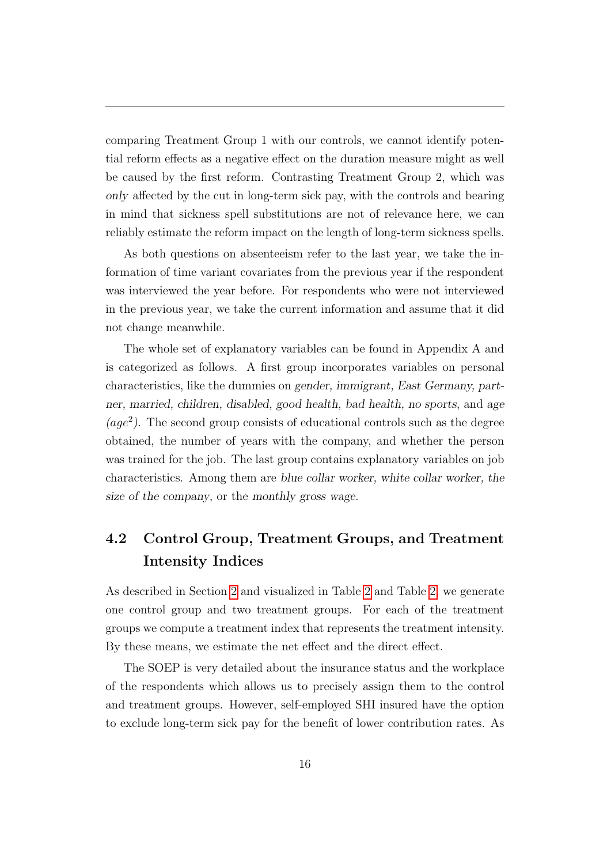comparing Treatment Group 1 with our controls, we cannot identify potential reform effects as a negative effect on the duration measure might as well be caused by the first reform. Contrasting Treatment Group 2, which was only affected by the cut in long-term sick pay, with the controls and bearing in mind that sickness spell substitutions are not of relevance here, we can reliably estimate the reform impact on the length of long-term sickness spells.

As both questions on absenteeism refer to the last year, we take the information of time variant covariates from the previous year if the respondent was interviewed the year before. For respondents who were not interviewed in the previous year, we take the current information and assume that it did not change meanwhile.

The whole set of explanatory variables can be found in Appendix A and is categorized as follows. A first group incorporates variables on personal characteristics, like the dummies on gender, immigrant, East Germany, partner, married, children, disabled, good health, bad health, no sports, and age  $(age<sup>2</sup>)$ . The second group consists of educational controls such as the degree obtained, the number of years with the company, and whether the person was trained for the job. The last group contains explanatory variables on job characteristics. Among them are blue collar worker, white collar worker, the size of the company, or the monthly gross wage.

# 4.2 Control Group, Treatment Groups, and Treatment Intensity Indices

As described in Section [2](#page-6-0) and visualized in Table [2](#page-43-0) and Table [2,](#page-43-0) we generate one control group and two treatment groups. For each of the treatment groups we compute a treatment index that represents the treatment intensity. By these means, we estimate the net effect and the direct effect.

The SOEP is very detailed about the insurance status and the workplace of the respondents which allows us to precisely assign them to the control and treatment groups. However, self-employed SHI insured have the option to exclude long-term sick pay for the benefit of lower contribution rates. As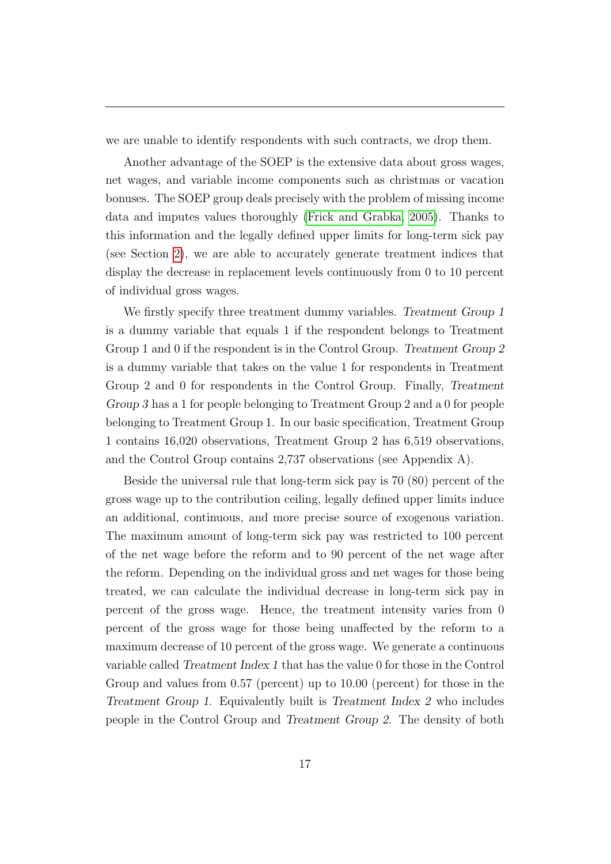we are unable to identify respondents with such contracts, we drop them.

Another advantage of the SOEP is the extensive data about gross wages, net wages, and variable income components such as christmas or vacation bonuses. The SOEP group deals precisely with the problem of missing income data and imputes values thoroughly [\(Frick and Grabka, 2005\)](#page-39-10). Thanks to this information and the legally defined upper limits for long-term sick pay (see Section [2\)](#page-6-0), we are able to accurately generate treatment indices that display the decrease in replacement levels continuously from 0 to 10 percent of individual gross wages.

We firstly specify three treatment dummy variables. Treatment Group 1 is a dummy variable that equals 1 if the respondent belongs to Treatment Group 1 and 0 if the respondent is in the Control Group. Treatment Group 2 is a dummy variable that takes on the value 1 for respondents in Treatment Group 2 and 0 for respondents in the Control Group. Finally, Treatment Group 3 has a 1 for people belonging to Treatment Group 2 and a 0 for people belonging to Treatment Group 1. In our basic specification, Treatment Group 1 contains 16,020 observations, Treatment Group 2 has 6,519 observations, and the Control Group contains 2,737 observations (see Appendix A).

Beside the universal rule that long-term sick pay is 70 (80) percent of the gross wage up to the contribution ceiling, legally defined upper limits induce an additional, continuous, and more precise source of exogenous variation. The maximum amount of long-term sick pay was restricted to 100 percent of the net wage before the reform and to 90 percent of the net wage after the reform. Depending on the individual gross and net wages for those being treated, we can calculate the individual decrease in long-term sick pay in percent of the gross wage. Hence, the treatment intensity varies from 0 percent of the gross wage for those being unaffected by the reform to a maximum decrease of 10 percent of the gross wage. We generate a continuous variable called Treatment Index 1 that has the value 0 for those in the Control Group and values from 0.57 (percent) up to 10.00 (percent) for those in the Treatment Group 1. Equivalently built is Treatment Index 2 who includes people in the Control Group and Treatment Group 2. The density of both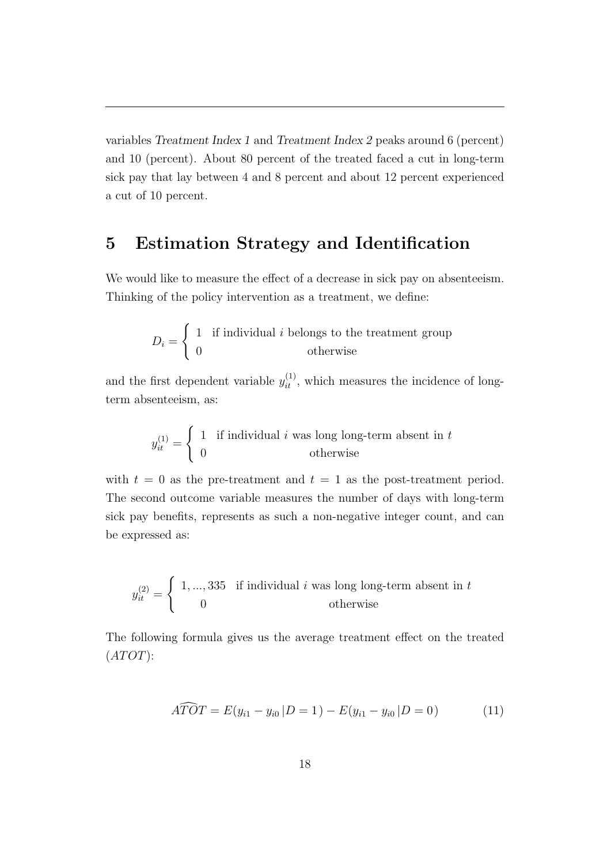variables Treatment Index 1 and Treatment Index 2 peaks around 6 (percent) and 10 (percent). About 80 percent of the treated faced a cut in long-term sick pay that lay between 4 and 8 percent and about 12 percent experienced a cut of 10 percent.

# <span id="page-19-0"></span>5 Estimation Strategy and Identification

We would like to measure the effect of a decrease in sick pay on absenteeism. Thinking of the policy intervention as a treatment, we define:

$$
D_i = \begin{cases} 1 & \text{if individual } i \text{ belongs to the treatment group} \\ 0 & \text{otherwise} \end{cases}
$$

and the first dependent variable  $y_{it}^{(1)}$ , which measures the incidence of longterm absenteeism, as:

$$
y_{it}^{(1)} = \begin{cases} 1 & \text{if individual } i \text{ was long long-term absent in } t \\ 0 & \text{otherwise} \end{cases}
$$

with  $t = 0$  as the pre-treatment and  $t = 1$  as the post-treatment period. The second outcome variable measures the number of days with long-term sick pay benefits, represents as such a non-negative integer count, and can be expressed as:

$$
y_{it}^{(2)} = \begin{cases} 1, ..., 335 & \text{if individual } i \text{ was long long-term absent in } t \\ 0 & \text{otherwise} \end{cases}
$$

The following formula gives us the average treatment effect on the treated  $(ATOT)$ :

<span id="page-19-1"></span>
$$
\widehat{ATOT} = E(y_{i1} - y_{i0} | D = 1) - E(y_{i1} - y_{i0} | D = 0)
$$
\n(11)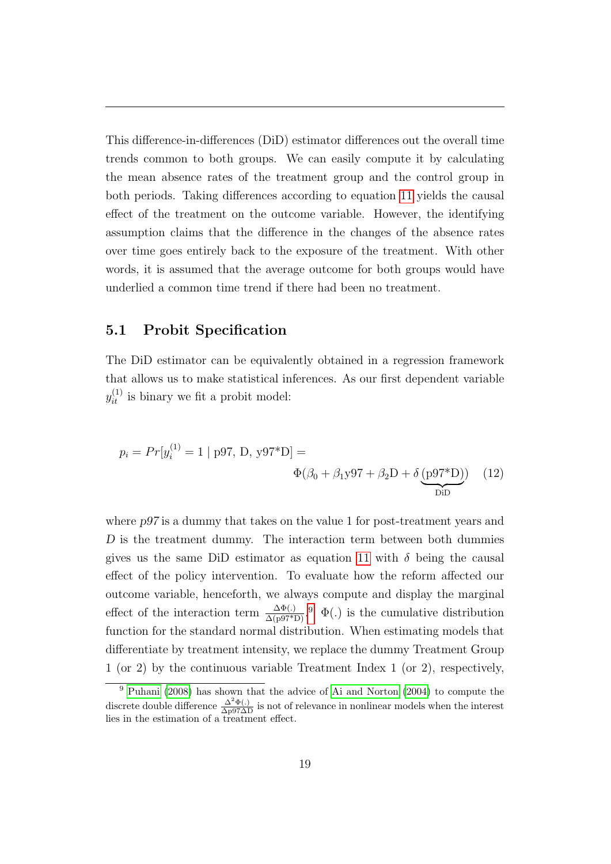This difference-in-differences (DiD) estimator differences out the overall time trends common to both groups. We can easily compute it by calculating the mean absence rates of the treatment group and the control group in both periods. Taking differences according to equation [11](#page-19-1) yields the causal effect of the treatment on the outcome variable. However, the identifying assumption claims that the difference in the changes of the absence rates over time goes entirely back to the exposure of the treatment. With other words, it is assumed that the average outcome for both groups would have underlied a common time trend if there had been no treatment.

### 5.1 Probit Specification

The DiD estimator can be equivalently obtained in a regression framework that allows us to make statistical inferences. As our first dependent variable  $y_{it}^{(1)}$  is binary we fit a probit model:

$$
p_i = Pr[y_i^{(1)} = 1 | p97, D, y97^*D] =
$$
  

$$
\Phi(\beta_0 + \beta_1 y97 + \beta_2 D + \delta \underbrace{(p97^*D)}_{DiD})
$$
 (12)

where  $p97$  is a dummy that takes on the value 1 for post-treatment years and D is the treatment dummy. The interaction term between both dummies gives us the same DiD estimator as equation [11](#page-19-1) with  $\delta$  being the causal effect of the policy intervention. To evaluate how the reform affected our outcome variable, henceforth, we always compute and display the marginal effect of the interaction term  $\frac{\Delta \Phi(.)}{\Delta (p97*D)}$  $\frac{\Delta \Phi(.)}{\Delta (p97*D)}$  $\frac{\Delta \Phi(.)}{\Delta (p97*D)}$ .<sup>9</sup>  $\Phi(.)$  is the cumulative distribution function for the standard normal distribution. When estimating models that differentiate by treatment intensity, we replace the dummy Treatment Group 1 (or 2) by the continuous variable Treatment Index 1 (or 2), respectively,

<span id="page-20-0"></span> $9$  [Puhani](#page-40-5) [\(2008\)](#page-40-5) has shown that the advice of [Ai and Norton](#page-38-8) [\(2004\)](#page-38-8) to compute the discrete double difference  $\frac{\Delta^2 \Phi(.)}{\Delta p 97\Delta D}$  is not of relevance in nonlinear models when the interest lies in the estimation of a treatment effect.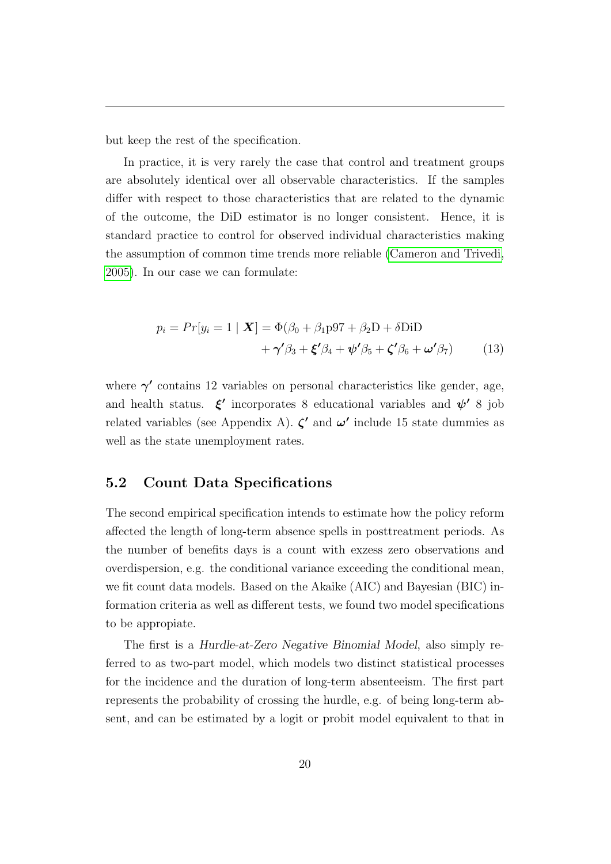but keep the rest of the specification.

In practice, it is very rarely the case that control and treatment groups are absolutely identical over all observable characteristics. If the samples differ with respect to those characteristics that are related to the dynamic of the outcome, the DiD estimator is no longer consistent. Hence, it is standard practice to control for observed individual characteristics making the assumption of common time trends more reliable [\(Cameron and Trivedi,](#page-38-9) [2005\)](#page-38-9). In our case we can formulate:

<span id="page-21-0"></span>
$$
p_i = Pr[y_i = 1 | \mathbf{X}] = \Phi(\beta_0 + \beta_1 p 97 + \beta_2 D + \delta D iD + \gamma'\beta_3 + \xi'\beta_4 + \psi'\beta_5 + \zeta'\beta_6 + \omega'\beta_7)
$$
(13)

where  $\gamma'$  contains 12 variables on personal characteristics like gender, age, and health status.  $\xi'$  incorporates 8 educational variables and  $\psi'$  8 job related variables (see Appendix A).  $\zeta'$  and  $\omega'$  include 15 state dummies as well as the state unemployment rates.

### 5.2 Count Data Specifications

The second empirical specification intends to estimate how the policy reform affected the length of long-term absence spells in posttreatment periods. As the number of benefits days is a count with exzess zero observations and overdispersion, e.g. the conditional variance exceeding the conditional mean, we fit count data models. Based on the Akaike (AIC) and Bayesian (BIC) information criteria as well as different tests, we found two model specifications to be appropiate.

The first is a Hurdle-at-Zero Negative Binomial Model, also simply referred to as two-part model, which models two distinct statistical processes for the incidence and the duration of long-term absenteeism. The first part represents the probability of crossing the hurdle, e.g. of being long-term absent, and can be estimated by a logit or probit model equivalent to that in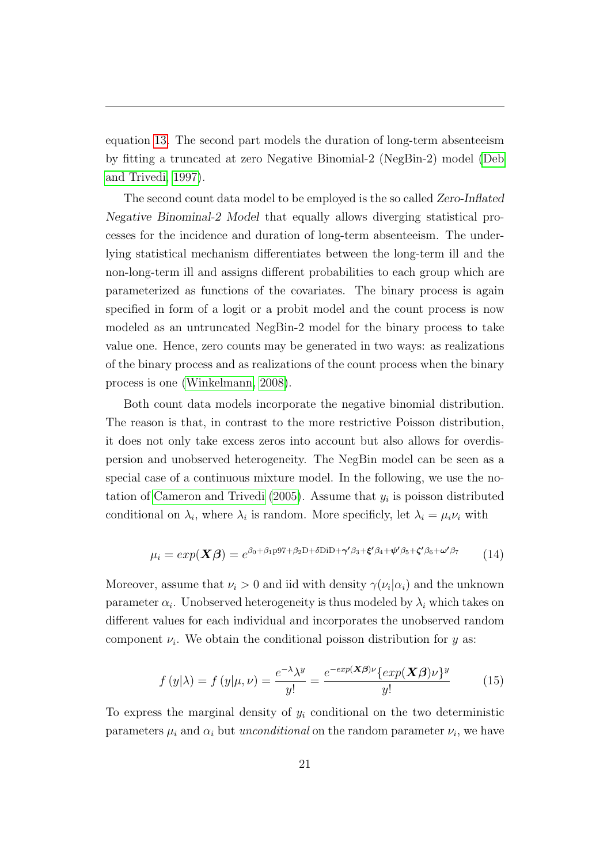equation [13.](#page-21-0) The second part models the duration of long-term absenteeism by fitting a truncated at zero Negative Binomial-2 (NegBin-2) model [\(Deb](#page-38-10) [and Trivedi, 1997\)](#page-38-10).

The second count data model to be employed is the so called Zero-Inflated Negative Binominal-2 Model that equally allows diverging statistical processes for the incidence and duration of long-term absenteeism. The underlying statistical mechanism differentiates between the long-term ill and the non-long-term ill and assigns different probabilities to each group which are parameterized as functions of the covariates. The binary process is again specified in form of a logit or a probit model and the count process is now modeled as an untruncated NegBin-2 model for the binary process to take value one. Hence, zero counts may be generated in two ways: as realizations of the binary process and as realizations of the count process when the binary process is one [\(Winkelmann, 2008\)](#page-40-6).

Both count data models incorporate the negative binomial distribution. The reason is that, in contrast to the more restrictive Poisson distribution, it does not only take excess zeros into account but also allows for overdispersion and unobserved heterogeneity. The NegBin model can be seen as a special case of a continuous mixture model. In the following, we use the no-tation of [Cameron and Trivedi \(2005\)](#page-38-9). Assume that  $y_i$  is poisson distributed conditional on  $\lambda_i$ , where  $\lambda_i$  is random. More specificly, let  $\lambda_i = \mu_i \nu_i$  with

$$
\mu_i = exp(\mathbf{X}\boldsymbol{\beta}) = e^{\beta_0 + \beta_1 p \cdot \beta_1 + \beta_2 D + \delta D i D + \gamma' \beta_3 + \xi' \beta_4 + \psi' \beta_5 + \zeta' \beta_6 + \omega' \beta_7}
$$
(14)

Moreover, assume that  $\nu_i > 0$  and iid with density  $\gamma(\nu_i | \alpha_i)$  and the unknown parameter  $\alpha_i$ . Unobserved heterogeneity is thus modeled by  $\lambda_i$  which takes on different values for each individual and incorporates the unobserved random component  $\nu_i$ . We obtain the conditional poisson distribution for y as:

$$
f(y|\lambda) = f(y|\mu, \nu) = \frac{e^{-\lambda}\lambda^y}{y!} = \frac{e^{-\exp(\mathbf{X}\boldsymbol{\beta})\nu}\{ \exp(\mathbf{X}\boldsymbol{\beta})\nu\}^y}{y!}
$$
(15)

To express the marginal density of  $y_i$  conditional on the two deterministic parameters  $\mu_i$  and  $\alpha_i$  but *unconditional* on the random parameter  $\nu_i$ , we have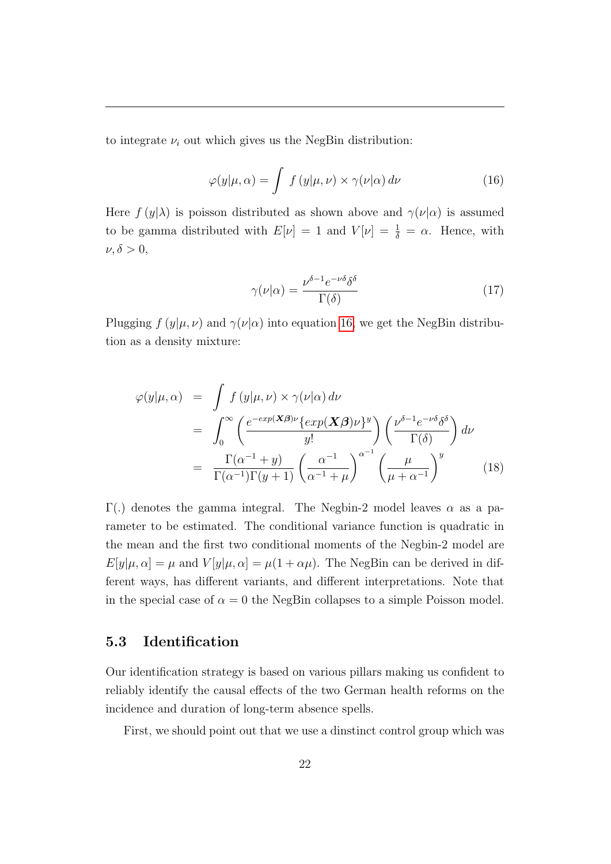to integrate  $\nu_i$  out which gives us the NegBin distribution:

<span id="page-23-0"></span>
$$
\varphi(y|\mu,\alpha) = \int f(y|\mu,\nu) \times \gamma(\nu|\alpha) d\nu \tag{16}
$$

Here  $f(y|\lambda)$  is poisson distributed as shown above and  $\gamma(\nu|\alpha)$  is assumed to be gamma distributed with  $E[\nu] = 1$  and  $V[\nu] = \frac{1}{\delta} = \alpha$ . Hence, with  $\nu, \delta > 0,$ 

$$
\gamma(\nu|\alpha) = \frac{\nu^{\delta - 1} e^{-\nu \delta} \delta^{\delta}}{\Gamma(\delta)}
$$
\n(17)

Plugging  $f(y|\mu, \nu)$  and  $\gamma(\nu|\alpha)$  into equation [16,](#page-23-0) we get the NegBin distribution as a density mixture:

$$
\varphi(y|\mu,\alpha) = \int f(y|\mu,\nu) \times \gamma(\nu|\alpha) d\nu
$$
  
= 
$$
\int_0^\infty \left( \frac{e^{-\exp(\mathbf{X}\beta)\nu} \{ \exp(\mathbf{X}\beta)\nu \}^y}{y!} \right) \left( \frac{\nu^{\delta-1} e^{-\nu \delta} \delta^\delta}{\Gamma(\delta)} \right) d\nu
$$
  
= 
$$
\frac{\Gamma(\alpha^{-1} + y)}{\Gamma(\alpha^{-1})\Gamma(y+1)} \left( \frac{\alpha^{-1}}{\alpha^{-1} + \mu} \right)^{\alpha^{-1}} \left( \frac{\mu}{\mu + \alpha^{-1}} \right)^y
$$
(18)

Γ(.) denotes the gamma integral. The Negbin-2 model leaves  $\alpha$  as a parameter to be estimated. The conditional variance function is quadratic in the mean and the first two conditional moments of the Negbin-2 model are  $E[y|\mu,\alpha] = \mu$  and  $V[y|\mu,\alpha] = \mu(1+\alpha\mu)$ . The NegBin can be derived in different ways, has different variants, and different interpretations. Note that in the special case of  $\alpha = 0$  the NegBin collapses to a simple Poisson model.

### 5.3 Identification

Our identification strategy is based on various pillars making us confident to reliably identify the causal effects of the two German health reforms on the incidence and duration of long-term absence spells.

First, we should point out that we use a dinstinct control group which was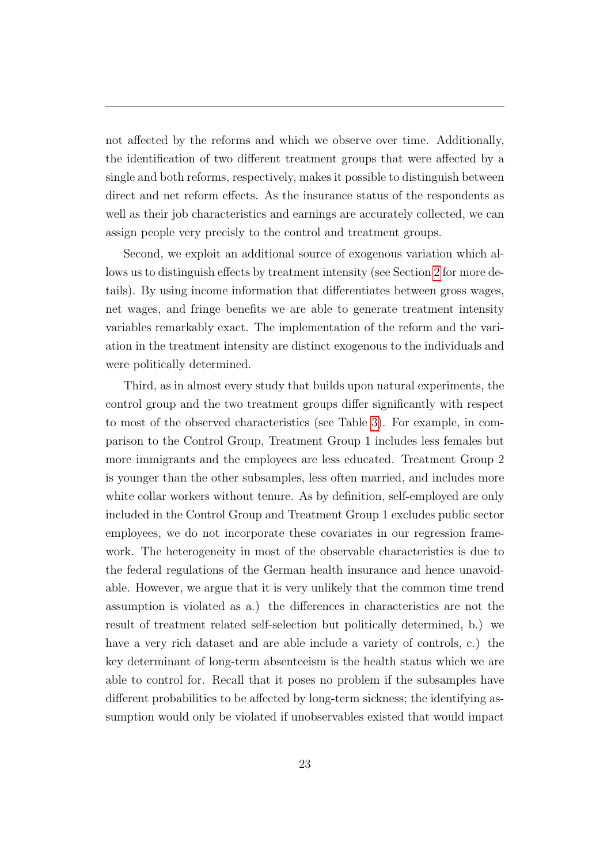not affected by the reforms and which we observe over time. Additionally, the identification of two different treatment groups that were affected by a single and both reforms, respectively, makes it possible to distinguish between direct and net reform effects. As the insurance status of the respondents as well as their job characteristics and earnings are accurately collected, we can assign people very precisly to the control and treatment groups.

Second, we exploit an additional source of exogenous variation which allows us to distinguish effects by treatment intensity (see Section [2](#page-6-0) for more details). By using income information that differentiates between gross wages, net wages, and fringe benefits we are able to generate treatment intensity variables remarkably exact. The implementation of the reform and the variation in the treatment intensity are distinct exogenous to the individuals and were politically determined.

Third, as in almost every study that builds upon natural experiments, the control group and the two treatment groups differ significantly with respect to most of the observed characteristics (see Table [3\)](#page-44-0). For example, in comparison to the Control Group, Treatment Group 1 includes less females but more immigrants and the employees are less educated. Treatment Group 2 is younger than the other subsamples, less often married, and includes more white collar workers without tenure. As by definition, self-employed are only included in the Control Group and Treatment Group 1 excludes public sector employees, we do not incorporate these covariates in our regression framework. The heterogeneity in most of the observable characteristics is due to the federal regulations of the German health insurance and hence unavoidable. However, we argue that it is very unlikely that the common time trend assumption is violated as a.) the differences in characteristics are not the result of treatment related self-selection but politically determined, b.) we have a very rich dataset and are able include a variety of controls, c.) the key determinant of long-term absenteeism is the health status which we are able to control for. Recall that it poses no problem if the subsamples have different probabilities to be affected by long-term sickness; the identifying assumption would only be violated if unobservables existed that would impact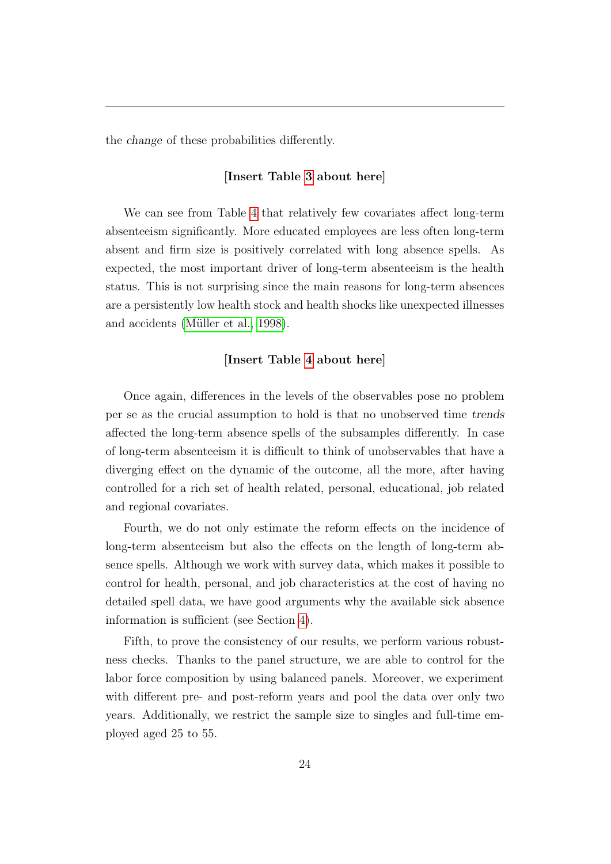the change of these probabilities differently.

### [Insert Table [3](#page-44-0) about here]

We can see from Table [4](#page-46-0) that relatively few covariates affect long-term absenteeism significantly. More educated employees are less often long-term absent and firm size is positively correlated with long absence spells. As expected, the most important driver of long-term absenteeism is the health status. This is not surprising since the main reasons for long-term absences are a persistently low health stock and health shocks like unexpected illnesses and accidents (Müller et al., 1998).

### [Insert Table [4](#page-46-0) about here]

Once again, differences in the levels of the observables pose no problem per se as the crucial assumption to hold is that no unobserved time trends affected the long-term absence spells of the subsamples differently. In case of long-term absenteeism it is difficult to think of unobservables that have a diverging effect on the dynamic of the outcome, all the more, after having controlled for a rich set of health related, personal, educational, job related and regional covariates.

Fourth, we do not only estimate the reform effects on the incidence of long-term absenteeism but also the effects on the length of long-term absence spells. Although we work with survey data, which makes it possible to control for health, personal, and job characteristics at the cost of having no detailed spell data, we have good arguments why the available sick absence information is sufficient (see Section [4\)](#page-15-0).

Fifth, to prove the consistency of our results, we perform various robustness checks. Thanks to the panel structure, we are able to control for the labor force composition by using balanced panels. Moreover, we experiment with different pre- and post-reform years and pool the data over only two years. Additionally, we restrict the sample size to singles and full-time employed aged 25 to 55.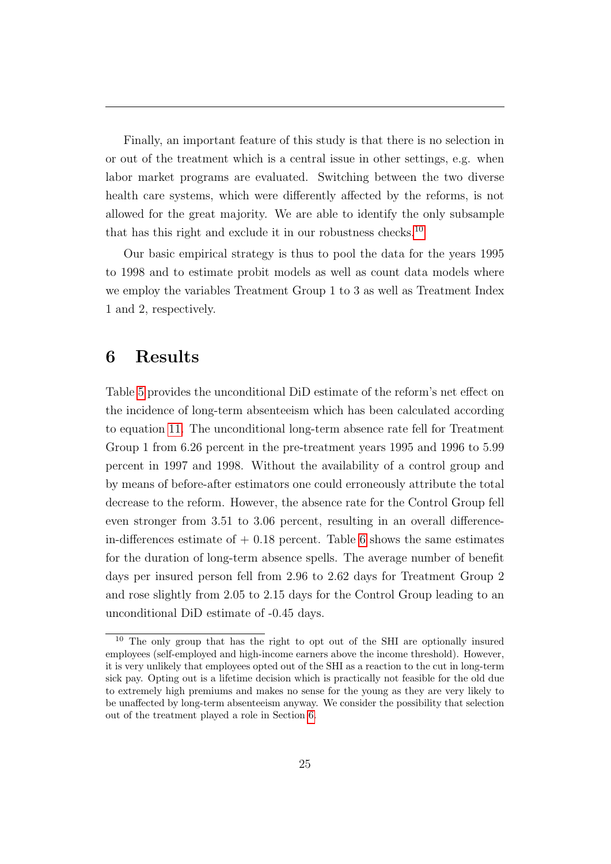Finally, an important feature of this study is that there is no selection in or out of the treatment which is a central issue in other settings, e.g. when labor market programs are evaluated. Switching between the two diverse health care systems, which were differently affected by the reforms, is not allowed for the great majority. We are able to identify the only subsample that has this right and exclude it in our robustness checks.<sup>[10](#page-26-1)</sup>

Our basic empirical strategy is thus to pool the data for the years 1995 to 1998 and to estimate probit models as well as count data models where we employ the variables Treatment Group 1 to 3 as well as Treatment Index 1 and 2, respectively.

## <span id="page-26-0"></span>6 Results

Table [5](#page-47-0) provides the unconditional DiD estimate of the reform's net effect on the incidence of long-term absenteeism which has been calculated according to equation [11.](#page-19-1) The unconditional long-term absence rate fell for Treatment Group 1 from 6.26 percent in the pre-treatment years 1995 and 1996 to 5.99 percent in 1997 and 1998. Without the availability of a control group and by means of before-after estimators one could erroneously attribute the total decrease to the reform. However, the absence rate for the Control Group fell even stronger from 3.51 to 3.06 percent, resulting in an overall differencein-differences estimate of  $+$  0.18 percent. Table [6](#page-47-1) shows the same estimates for the duration of long-term absence spells. The average number of benefit days per insured person fell from 2.96 to 2.62 days for Treatment Group 2 and rose slightly from 2.05 to 2.15 days for the Control Group leading to an unconditional DiD estimate of -0.45 days.

<span id="page-26-1"></span><sup>&</sup>lt;sup>10</sup> The only group that has the right to opt out of the SHI are optionally insured employees (self-employed and high-income earners above the income threshold). However, it is very unlikely that employees opted out of the SHI as a reaction to the cut in long-term sick pay. Opting out is a lifetime decision which is practically not feasible for the old due to extremely high premiums and makes no sense for the young as they are very likely to be unaffected by long-term absenteeism anyway. We consider the possibility that selection out of the treatment played a role in Section [6.](#page-26-0)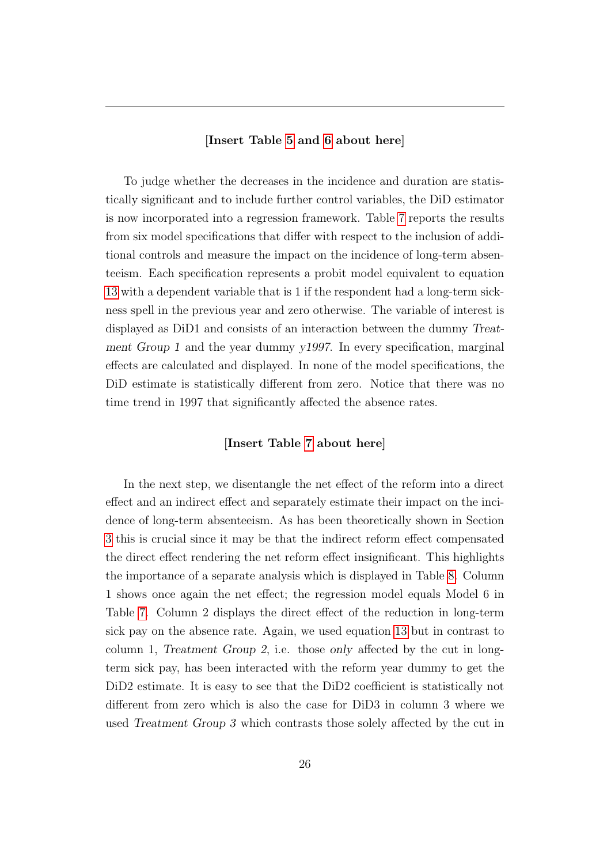#### [Insert Table [5](#page-47-0) and [6](#page-47-1) about here]

To judge whether the decreases in the incidence and duration are statistically significant and to include further control variables, the DiD estimator is now incorporated into a regression framework. Table [7](#page-48-0) reports the results from six model specifications that differ with respect to the inclusion of additional controls and measure the impact on the incidence of long-term absenteeism. Each specification represents a probit model equivalent to equation [13](#page-21-0) with a dependent variable that is 1 if the respondent had a long-term sickness spell in the previous year and zero otherwise. The variable of interest is displayed as DiD1 and consists of an interaction between the dummy Treatment Group 1 and the year dummy y1997. In every specification, marginal effects are calculated and displayed. In none of the model specifications, the DiD estimate is statistically different from zero. Notice that there was no time trend in 1997 that significantly affected the absence rates.

#### [Insert Table [7](#page-48-0) about here]

In the next step, we disentangle the net effect of the reform into a direct effect and an indirect effect and separately estimate their impact on the incidence of long-term absenteeism. As has been theoretically shown in Section [3](#page-9-0) this is crucial since it may be that the indirect reform effect compensated the direct effect rendering the net reform effect insignificant. This highlights the importance of a separate analysis which is displayed in Table [8.](#page-49-0) Column 1 shows once again the net effect; the regression model equals Model 6 in Table [7.](#page-48-0) Column 2 displays the direct effect of the reduction in long-term sick pay on the absence rate. Again, we used equation [13](#page-21-0) but in contrast to column 1, Treatment Group 2, i.e. those only affected by the cut in longterm sick pay, has been interacted with the reform year dummy to get the DiD2 estimate. It is easy to see that the DiD2 coefficient is statistically not different from zero which is also the case for DiD3 in column 3 where we used Treatment Group 3 which contrasts those solely affected by the cut in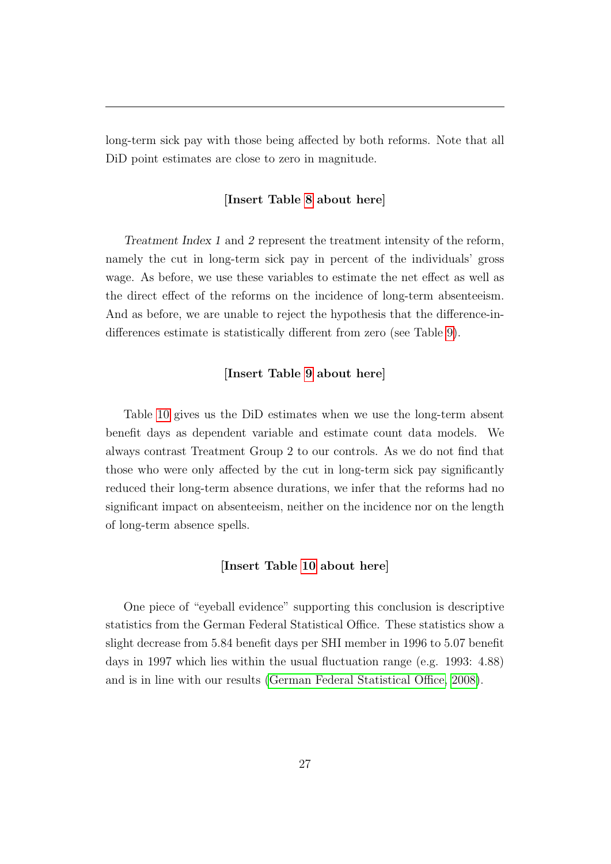long-term sick pay with those being affected by both reforms. Note that all DiD point estimates are close to zero in magnitude.

#### [Insert Table [8](#page-49-0) about here]

Treatment Index 1 and 2 represent the treatment intensity of the reform, namely the cut in long-term sick pay in percent of the individuals' gross wage. As before, we use these variables to estimate the net effect as well as the direct effect of the reforms on the incidence of long-term absenteeism. And as before, we are unable to reject the hypothesis that the difference-indifferences estimate is statistically different from zero (see Table [9\)](#page-50-0).

#### [Insert Table [9](#page-50-0) about here]

Table [10](#page-51-0) gives us the DiD estimates when we use the long-term absent benefit days as dependent variable and estimate count data models. We always contrast Treatment Group 2 to our controls. As we do not find that those who were only affected by the cut in long-term sick pay significantly reduced their long-term absence durations, we infer that the reforms had no significant impact on absenteeism, neither on the incidence nor on the length of long-term absence spells.

#### [Insert Table [10](#page-51-0) about here]

One piece of "eyeball evidence" supporting this conclusion is descriptive statistics from the German Federal Statistical Office. These statistics show a slight decrease from 5.84 benefit days per SHI member in 1996 to 5.07 benefit days in 1997 which lies within the usual fluctuation range (e.g. 1993: 4.88) and is in line with our results [\(German Federal Statistical Office, 2008\)](#page-39-9).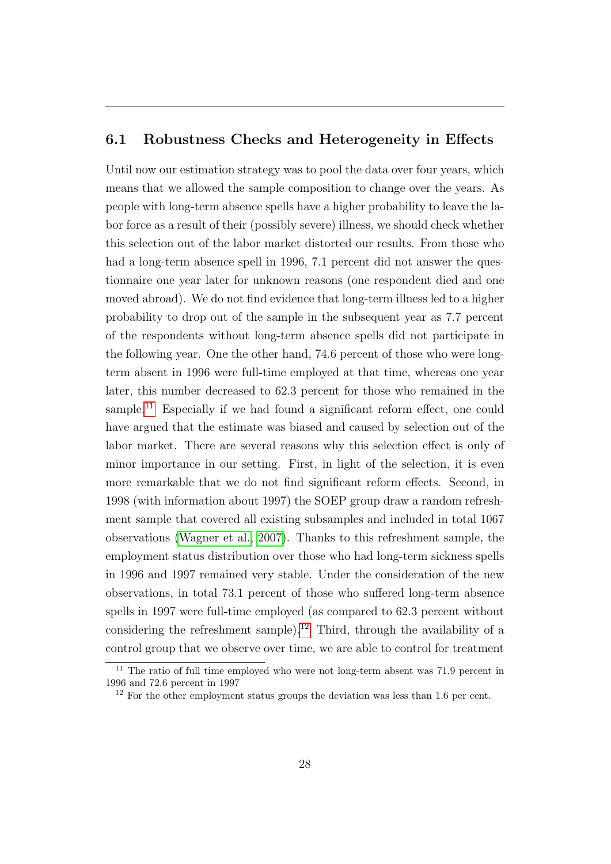### 6.1 Robustness Checks and Heterogeneity in Effects

Until now our estimation strategy was to pool the data over four years, which means that we allowed the sample composition to change over the years. As people with long-term absence spells have a higher probability to leave the labor force as a result of their (possibly severe) illness, we should check whether this selection out of the labor market distorted our results. From those who had a long-term absence spell in 1996, 7.1 percent did not answer the questionnaire one year later for unknown reasons (one respondent died and one moved abroad). We do not find evidence that long-term illness led to a higher probability to drop out of the sample in the subsequent year as 7.7 percent of the respondents without long-term absence spells did not participate in the following year. One the other hand, 74.6 percent of those who were longterm absent in 1996 were full-time employed at that time, whereas one year later, this number decreased to 62.3 percent for those who remained in the sample.<sup>[11](#page-29-0)</sup> Especially if we had found a significant reform effect, one could have argued that the estimate was biased and caused by selection out of the labor market. There are several reasons why this selection effect is only of minor importance in our setting. First, in light of the selection, it is even more remarkable that we do not find significant reform effects. Second, in 1998 (with information about 1997) the SOEP group draw a random refreshment sample that covered all existing subsamples and included in total 1067 observations [\(Wagner et al., 2007\)](#page-40-4). Thanks to this refreshment sample, the employment status distribution over those who had long-term sickness spells in 1996 and 1997 remained very stable. Under the consideration of the new observations, in total 73.1 percent of those who suffered long-term absence spells in 1997 were full-time employed (as compared to 62.3 percent without considering the refreshment sample).<sup>[12](#page-29-1)</sup> Third, through the availability of a control group that we observe over time, we are able to control for treatment

<span id="page-29-0"></span><sup>11</sup> The ratio of full time employed who were not long-term absent was 71.9 percent in 1996 and 72.6 percent in 1997

<span id="page-29-1"></span><sup>&</sup>lt;sup>12</sup> For the other employment status groups the deviation was less than 1.6 per cent.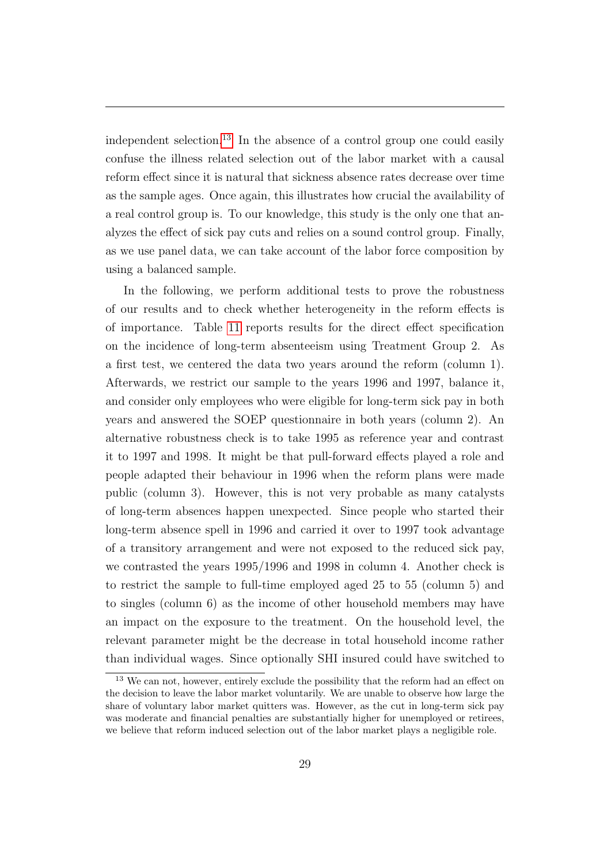independent selection.<sup>[13](#page-30-0)</sup> In the absence of a control group one could easily confuse the illness related selection out of the labor market with a causal reform effect since it is natural that sickness absence rates decrease over time as the sample ages. Once again, this illustrates how crucial the availability of a real control group is. To our knowledge, this study is the only one that analyzes the effect of sick pay cuts and relies on a sound control group. Finally, as we use panel data, we can take account of the labor force composition by using a balanced sample.

In the following, we perform additional tests to prove the robustness of our results and to check whether heterogeneity in the reform effects is of importance. Table [11](#page-52-0) reports results for the direct effect specification on the incidence of long-term absenteeism using Treatment Group 2. As a first test, we centered the data two years around the reform (column 1). Afterwards, we restrict our sample to the years 1996 and 1997, balance it, and consider only employees who were eligible for long-term sick pay in both years and answered the SOEP questionnaire in both years (column 2). An alternative robustness check is to take 1995 as reference year and contrast it to 1997 and 1998. It might be that pull-forward effects played a role and people adapted their behaviour in 1996 when the reform plans were made public (column 3). However, this is not very probable as many catalysts of long-term absences happen unexpected. Since people who started their long-term absence spell in 1996 and carried it over to 1997 took advantage of a transitory arrangement and were not exposed to the reduced sick pay, we contrasted the years 1995/1996 and 1998 in column 4. Another check is to restrict the sample to full-time employed aged 25 to 55 (column 5) and to singles (column 6) as the income of other household members may have an impact on the exposure to the treatment. On the household level, the relevant parameter might be the decrease in total household income rather than individual wages. Since optionally SHI insured could have switched to

<span id="page-30-0"></span><sup>&</sup>lt;sup>13</sup> We can not, however, entirely exclude the possibility that the reform had an effect on the decision to leave the labor market voluntarily. We are unable to observe how large the share of voluntary labor market quitters was. However, as the cut in long-term sick pay was moderate and financial penalties are substantially higher for unemployed or retirees, we believe that reform induced selection out of the labor market plays a negligible role.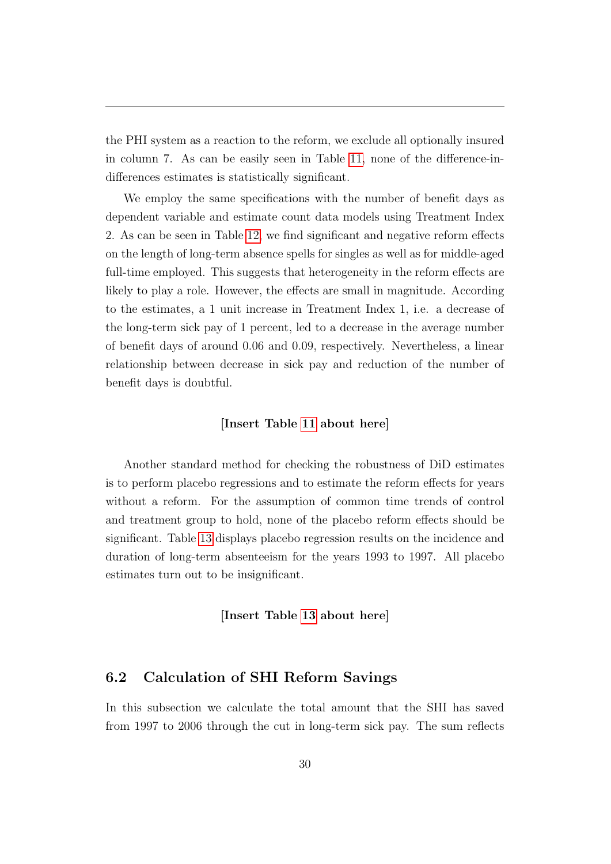the PHI system as a reaction to the reform, we exclude all optionally insured in column 7. As can be easily seen in Table [11,](#page-52-0) none of the difference-indifferences estimates is statistically significant.

We employ the same specifications with the number of benefit days as dependent variable and estimate count data models using Treatment Index 2. As can be seen in Table [12,](#page-53-0) we find significant and negative reform effects on the length of long-term absence spells for singles as well as for middle-aged full-time employed. This suggests that heterogeneity in the reform effects are likely to play a role. However, the effects are small in magnitude. According to the estimates, a 1 unit increase in Treatment Index 1, i.e. a decrease of the long-term sick pay of 1 percent, led to a decrease in the average number of benefit days of around 0.06 and 0.09, respectively. Nevertheless, a linear relationship between decrease in sick pay and reduction of the number of benefit days is doubtful.

#### [Insert Table [11](#page-52-0) about here]

Another standard method for checking the robustness of DiD estimates is to perform placebo regressions and to estimate the reform effects for years without a reform. For the assumption of common time trends of control and treatment group to hold, none of the placebo reform effects should be significant. Table [13](#page-54-0) displays placebo regression results on the incidence and duration of long-term absenteeism for the years 1993 to 1997. All placebo estimates turn out to be insignificant.

#### [Insert Table [13](#page-54-0) about here]

### 6.2 Calculation of SHI Reform Savings

In this subsection we calculate the total amount that the SHI has saved from 1997 to 2006 through the cut in long-term sick pay. The sum reflects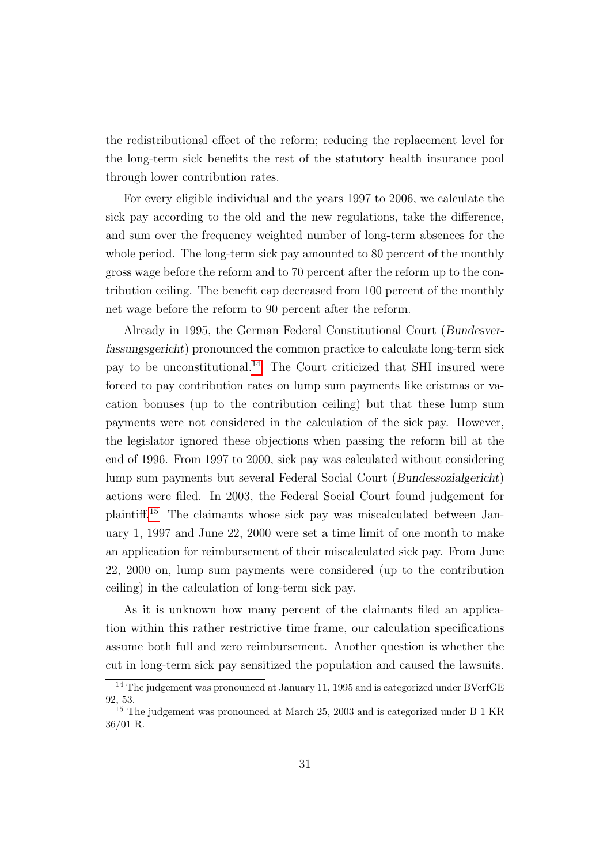the redistributional effect of the reform; reducing the replacement level for the long-term sick benefits the rest of the statutory health insurance pool through lower contribution rates.

For every eligible individual and the years 1997 to 2006, we calculate the sick pay according to the old and the new regulations, take the difference, and sum over the frequency weighted number of long-term absences for the whole period. The long-term sick pay amounted to 80 percent of the monthly gross wage before the reform and to 70 percent after the reform up to the contribution ceiling. The benefit cap decreased from 100 percent of the monthly net wage before the reform to 90 percent after the reform.

Already in 1995, the German Federal Constitutional Court (Bundesverfassungsgericht) pronounced the common practice to calculate long-term sick pay to be unconstitutional.[14](#page-32-0) The Court criticized that SHI insured were forced to pay contribution rates on lump sum payments like cristmas or vacation bonuses (up to the contribution ceiling) but that these lump sum payments were not considered in the calculation of the sick pay. However, the legislator ignored these objections when passing the reform bill at the end of 1996. From 1997 to 2000, sick pay was calculated without considering lump sum payments but several Federal Social Court (Bundessozialgericht) actions were filed. In 2003, the Federal Social Court found judgement for plaintiff.[15](#page-32-1) The claimants whose sick pay was miscalculated between January 1, 1997 and June 22, 2000 were set a time limit of one month to make an application for reimbursement of their miscalculated sick pay. From June 22, 2000 on, lump sum payments were considered (up to the contribution ceiling) in the calculation of long-term sick pay.

As it is unknown how many percent of the claimants filed an application within this rather restrictive time frame, our calculation specifications assume both full and zero reimbursement. Another question is whether the cut in long-term sick pay sensitized the population and caused the lawsuits.

<span id="page-32-0"></span><sup>14</sup> The judgement was pronounced at January 11, 1995 and is categorized under BVerfGE 92, 53.

<span id="page-32-1"></span><sup>&</sup>lt;sup>15</sup> The judgement was pronounced at March 25, 2003 and is categorized under B 1 KR 36/01 R.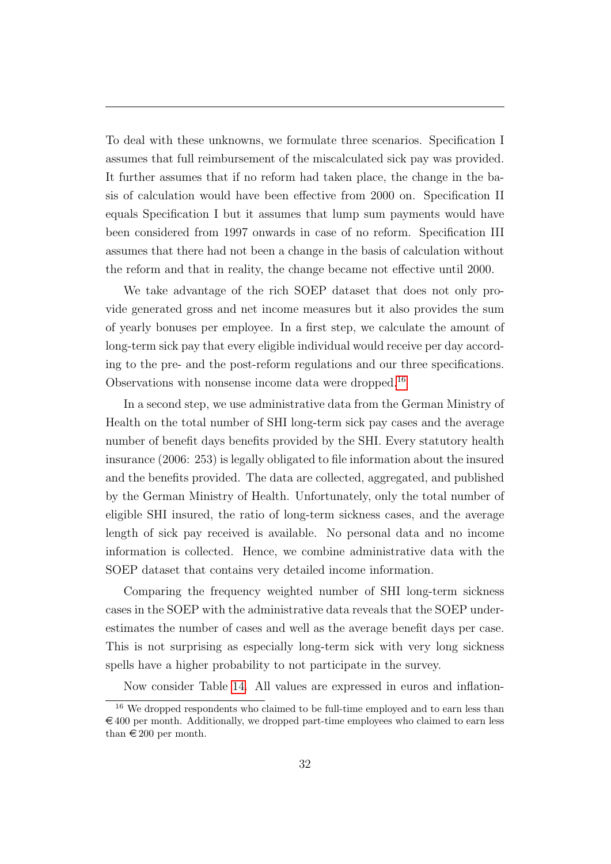To deal with these unknowns, we formulate three scenarios. Specification I assumes that full reimbursement of the miscalculated sick pay was provided. It further assumes that if no reform had taken place, the change in the basis of calculation would have been effective from 2000 on. Specification II equals Specification I but it assumes that lump sum payments would have been considered from 1997 onwards in case of no reform. Specification III assumes that there had not been a change in the basis of calculation without the reform and that in reality, the change became not effective until 2000.

We take advantage of the rich SOEP dataset that does not only provide generated gross and net income measures but it also provides the sum of yearly bonuses per employee. In a first step, we calculate the amount of long-term sick pay that every eligible individual would receive per day according to the pre- and the post-reform regulations and our three specifications. Observations with nonsense income data were dropped.[16](#page-33-0)

In a second step, we use administrative data from the German Ministry of Health on the total number of SHI long-term sick pay cases and the average number of benefit days benefits provided by the SHI. Every statutory health insurance (2006: 253) is legally obligated to file information about the insured and the benefits provided. The data are collected, aggregated, and published by the German Ministry of Health. Unfortunately, only the total number of eligible SHI insured, the ratio of long-term sickness cases, and the average length of sick pay received is available. No personal data and no income information is collected. Hence, we combine administrative data with the SOEP dataset that contains very detailed income information.

Comparing the frequency weighted number of SHI long-term sickness cases in the SOEP with the administrative data reveals that the SOEP underestimates the number of cases and well as the average benefit days per case. This is not surprising as especially long-term sick with very long sickness spells have a higher probability to not participate in the survey.

<span id="page-33-0"></span>Now consider Table [14.](#page-55-0) All values are expressed in euros and inflation-

<sup>&</sup>lt;sup>16</sup> We dropped respondents who claimed to be full-time employed and to earn less than  $\epsilon$  400 per month. Additionally, we dropped part-time employees who claimed to earn less than  $\in 200$  per month.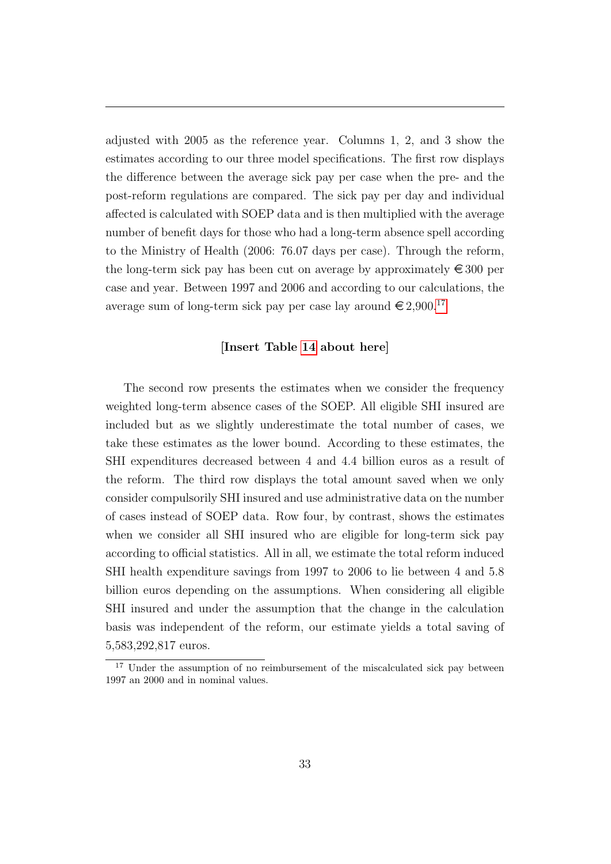adjusted with 2005 as the reference year. Columns 1, 2, and 3 show the estimates according to our three model specifications. The first row displays the difference between the average sick pay per case when the pre- and the post-reform regulations are compared. The sick pay per day and individual affected is calculated with SOEP data and is then multiplied with the average number of benefit days for those who had a long-term absence spell according to the Ministry of Health (2006: 76.07 days per case). Through the reform, the long-term sick pay has been cut on average by approximately  $\epsilon \leq 300$  per case and year. Between 1997 and 2006 and according to our calculations, the average sum of long-term sick pay per case lay around  $\in 2,900$ .<sup>[17](#page-34-0)</sup>

#### [Insert Table [14](#page-55-0) about here]

The second row presents the estimates when we consider the frequency weighted long-term absence cases of the SOEP. All eligible SHI insured are included but as we slightly underestimate the total number of cases, we take these estimates as the lower bound. According to these estimates, the SHI expenditures decreased between 4 and 4.4 billion euros as a result of the reform. The third row displays the total amount saved when we only consider compulsorily SHI insured and use administrative data on the number of cases instead of SOEP data. Row four, by contrast, shows the estimates when we consider all SHI insured who are eligible for long-term sick pay according to official statistics. All in all, we estimate the total reform induced SHI health expenditure savings from 1997 to 2006 to lie between 4 and 5.8 billion euros depending on the assumptions. When considering all eligible SHI insured and under the assumption that the change in the calculation basis was independent of the reform, our estimate yields a total saving of 5,583,292,817 euros.

<span id="page-34-0"></span><sup>&</sup>lt;sup>17</sup> Under the assumption of no reimbursement of the miscalculated sick pay between 1997 an 2000 and in nominal values.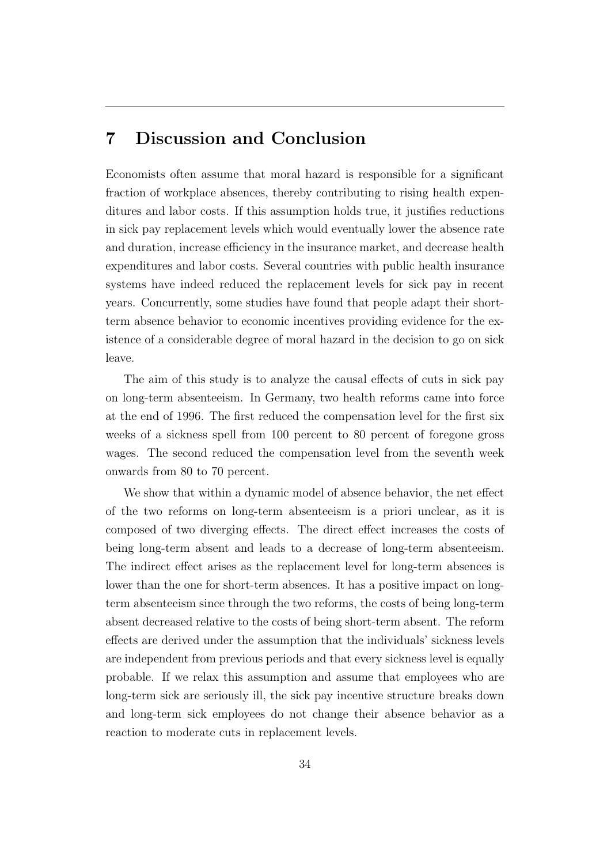# <span id="page-35-0"></span>7 Discussion and Conclusion

Economists often assume that moral hazard is responsible for a significant fraction of workplace absences, thereby contributing to rising health expenditures and labor costs. If this assumption holds true, it justifies reductions in sick pay replacement levels which would eventually lower the absence rate and duration, increase efficiency in the insurance market, and decrease health expenditures and labor costs. Several countries with public health insurance systems have indeed reduced the replacement levels for sick pay in recent years. Concurrently, some studies have found that people adapt their shortterm absence behavior to economic incentives providing evidence for the existence of a considerable degree of moral hazard in the decision to go on sick leave.

The aim of this study is to analyze the causal effects of cuts in sick pay on long-term absenteeism. In Germany, two health reforms came into force at the end of 1996. The first reduced the compensation level for the first six weeks of a sickness spell from 100 percent to 80 percent of foregone gross wages. The second reduced the compensation level from the seventh week onwards from 80 to 70 percent.

We show that within a dynamic model of absence behavior, the net effect of the two reforms on long-term absenteeism is a priori unclear, as it is composed of two diverging effects. The direct effect increases the costs of being long-term absent and leads to a decrease of long-term absenteeism. The indirect effect arises as the replacement level for long-term absences is lower than the one for short-term absences. It has a positive impact on longterm absenteeism since through the two reforms, the costs of being long-term absent decreased relative to the costs of being short-term absent. The reform effects are derived under the assumption that the individuals' sickness levels are independent from previous periods and that every sickness level is equally probable. If we relax this assumption and assume that employees who are long-term sick are seriously ill, the sick pay incentive structure breaks down and long-term sick employees do not change their absence behavior as a reaction to moderate cuts in replacement levels.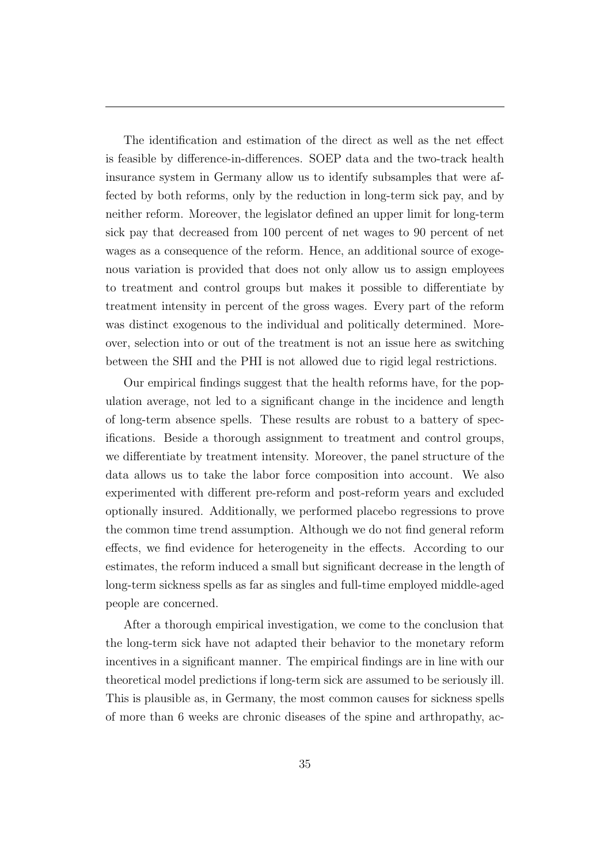The identification and estimation of the direct as well as the net effect is feasible by difference-in-differences. SOEP data and the two-track health insurance system in Germany allow us to identify subsamples that were affected by both reforms, only by the reduction in long-term sick pay, and by neither reform. Moreover, the legislator defined an upper limit for long-term sick pay that decreased from 100 percent of net wages to 90 percent of net wages as a consequence of the reform. Hence, an additional source of exogenous variation is provided that does not only allow us to assign employees to treatment and control groups but makes it possible to differentiate by treatment intensity in percent of the gross wages. Every part of the reform was distinct exogenous to the individual and politically determined. Moreover, selection into or out of the treatment is not an issue here as switching between the SHI and the PHI is not allowed due to rigid legal restrictions.

Our empirical findings suggest that the health reforms have, for the population average, not led to a significant change in the incidence and length of long-term absence spells. These results are robust to a battery of specifications. Beside a thorough assignment to treatment and control groups, we differentiate by treatment intensity. Moreover, the panel structure of the data allows us to take the labor force composition into account. We also experimented with different pre-reform and post-reform years and excluded optionally insured. Additionally, we performed placebo regressions to prove the common time trend assumption. Although we do not find general reform effects, we find evidence for heterogeneity in the effects. According to our estimates, the reform induced a small but significant decrease in the length of long-term sickness spells as far as singles and full-time employed middle-aged people are concerned.

After a thorough empirical investigation, we come to the conclusion that the long-term sick have not adapted their behavior to the monetary reform incentives in a significant manner. The empirical findings are in line with our theoretical model predictions if long-term sick are assumed to be seriously ill. This is plausible as, in Germany, the most common causes for sickness spells of more than 6 weeks are chronic diseases of the spine and arthropathy, ac-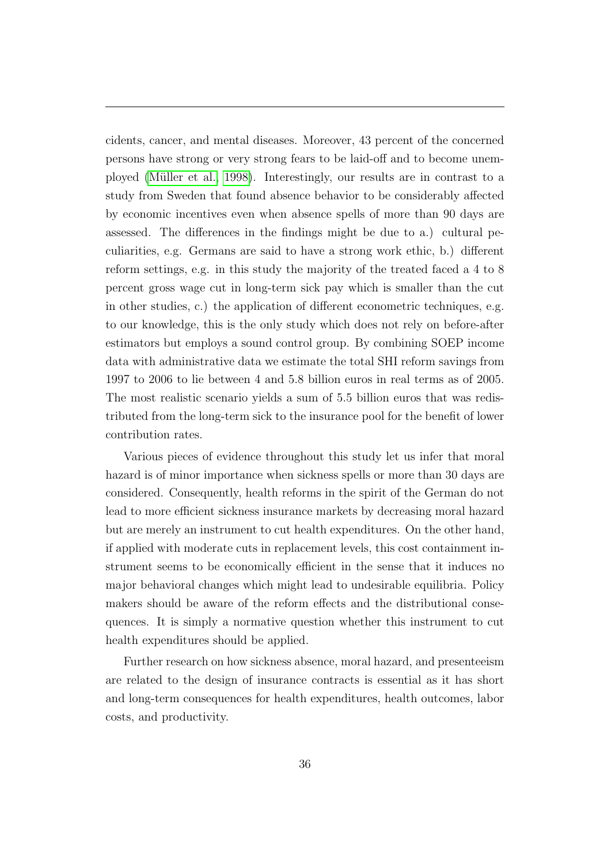cidents, cancer, and mental diseases. Moreover, 43 percent of the concerned persons have strong or very strong fears to be laid-off and to become unemployed [\(M¨uller et al., 1998\)](#page-40-7). Interestingly, our results are in contrast to a study from Sweden that found absence behavior to be considerably affected by economic incentives even when absence spells of more than 90 days are assessed. The differences in the findings might be due to a.) cultural peculiarities, e.g. Germans are said to have a strong work ethic, b.) different reform settings, e.g. in this study the majority of the treated faced a 4 to 8 percent gross wage cut in long-term sick pay which is smaller than the cut in other studies, c.) the application of different econometric techniques, e.g. to our knowledge, this is the only study which does not rely on before-after estimators but employs a sound control group. By combining SOEP income data with administrative data we estimate the total SHI reform savings from 1997 to 2006 to lie between 4 and 5.8 billion euros in real terms as of 2005. The most realistic scenario yields a sum of 5.5 billion euros that was redistributed from the long-term sick to the insurance pool for the benefit of lower contribution rates.

Various pieces of evidence throughout this study let us infer that moral hazard is of minor importance when sickness spells or more than 30 days are considered. Consequently, health reforms in the spirit of the German do not lead to more efficient sickness insurance markets by decreasing moral hazard but are merely an instrument to cut health expenditures. On the other hand, if applied with moderate cuts in replacement levels, this cost containment instrument seems to be economically efficient in the sense that it induces no major behavioral changes which might lead to undesirable equilibria. Policy makers should be aware of the reform effects and the distributional consequences. It is simply a normative question whether this instrument to cut health expenditures should be applied.

Further research on how sickness absence, moral hazard, and presenteeism are related to the design of insurance contracts is essential as it has short and long-term consequences for health expenditures, health outcomes, labor costs, and productivity.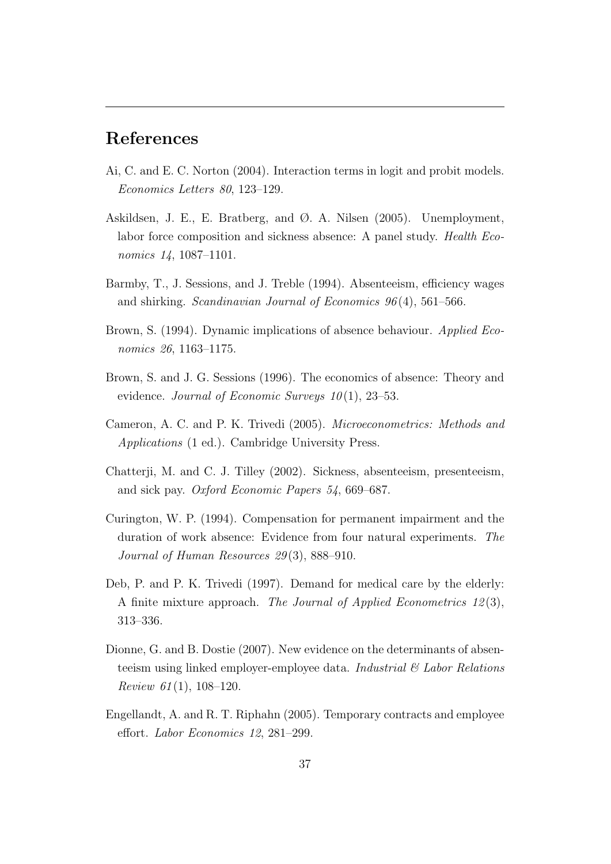# References

- <span id="page-38-8"></span>Ai, C. and E. C. Norton (2004). Interaction terms in logit and probit models. Economics Letters 80, 123–129.
- <span id="page-38-1"></span>Askildsen, J. E., E. Bratberg, and Ø. A. Nilsen (2005). Unemployment, labor force composition and sickness absence: A panel study. Health Economics 14, 1087-1101.
- <span id="page-38-6"></span>Barmby, T., J. Sessions, and J. Treble (1994). Absenteeism, efficiency wages and shirking. Scandinavian Journal of Economics 96 (4), 561–566.
- <span id="page-38-5"></span>Brown, S. (1994). Dynamic implications of absence behaviour. Applied Economics 26, 1163–1175.
- <span id="page-38-7"></span>Brown, S. and J. G. Sessions (1996). The economics of absence: Theory and evidence. Journal of Economic Surveys  $10(1)$ , 23–53.
- <span id="page-38-9"></span>Cameron, A. C. and P. K. Trivedi (2005). Microeconometrics: Methods and Applications (1 ed.). Cambridge University Press.
- <span id="page-38-3"></span>Chatterji, M. and C. J. Tilley (2002). Sickness, absenteeism, presenteeism, and sick pay. Oxford Economic Papers 54, 669–687.
- <span id="page-38-4"></span>Curington, W. P. (1994). Compensation for permanent impairment and the duration of work absence: Evidence from four natural experiments. The Journal of Human Resources 29(3), 888-910.
- <span id="page-38-10"></span>Deb, P. and P. K. Trivedi (1997). Demand for medical care by the elderly: A finite mixture approach. The Journal of Applied Econometrics 12(3), 313–336.
- <span id="page-38-0"></span>Dionne, G. and B. Dostie (2007). New evidence on the determinants of absenteeism using linked employer-employee data. Industrial  $\mathcal{B}'$  Labor Relations Review 61 $(1)$ , 108-120.
- <span id="page-38-2"></span>Engellandt, A. and R. T. Riphahn (2005). Temporary contracts and employee effort. Labor Economics 12, 281–299.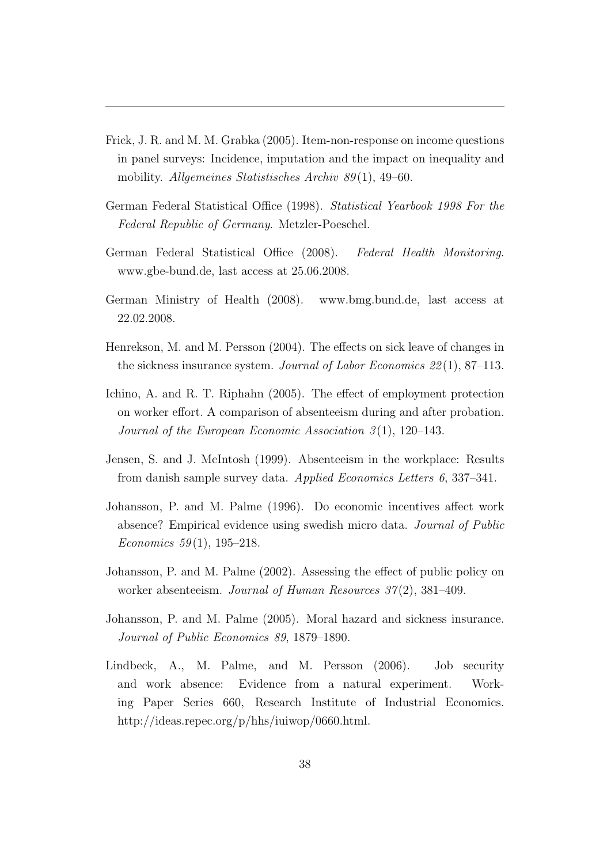- <span id="page-39-10"></span>Frick, J. R. and M. M. Grabka (2005). Item-non-response on income questions in panel surveys: Incidence, imputation and the impact on inequality and mobility. Allgemeines Statistisches Archiv 89(1), 49–60.
- <span id="page-39-0"></span>German Federal Statistical Office (1998). Statistical Yearbook 1998 For the Federal Republic of Germany. Metzler-Poeschel.
- <span id="page-39-9"></span>German Federal Statistical Office (2008). Federal Health Monitoring. www.gbe-bund.de, last access at 25.06.2008.
- <span id="page-39-8"></span>German Ministry of Health (2008). www.bmg.bund.de, last access at 22.02.2008.
- <span id="page-39-6"></span>Henrekson, M. and M. Persson (2004). The effects on sick leave of changes in the sickness insurance system. Journal of Labor Economics  $22(1)$ , 87–113.
- <span id="page-39-4"></span>Ichino, A. and R. T. Riphahn (2005). The effect of employment protection on worker effort. A comparison of absenteeism during and after probation. Journal of the European Economic Association  $3(1)$ , 120–143.
- <span id="page-39-1"></span>Jensen, S. and J. McIntosh (1999). Absenteeism in the workplace: Results from danish sample survey data. Applied Economics Letters 6, 337–341.
- <span id="page-39-2"></span>Johansson, P. and M. Palme (1996). Do economic incentives affect work absence? Empirical evidence using swedish micro data. Journal of Public Economics 59(1), 195–218.
- <span id="page-39-5"></span>Johansson, P. and M. Palme (2002). Assessing the effect of public policy on worker absenteeism. Journal of Human Resources 37(2), 381–409.
- <span id="page-39-7"></span>Johansson, P. and M. Palme (2005). Moral hazard and sickness insurance. Journal of Public Economics 89, 1879–1890.
- <span id="page-39-3"></span>Lindbeck, A., M. Palme, and M. Persson (2006). Job security and work absence: Evidence from a natural experiment. Working Paper Series 660, Research Institute of Industrial Economics. http://ideas.repec.org/p/hhs/iuiwop/0660.html.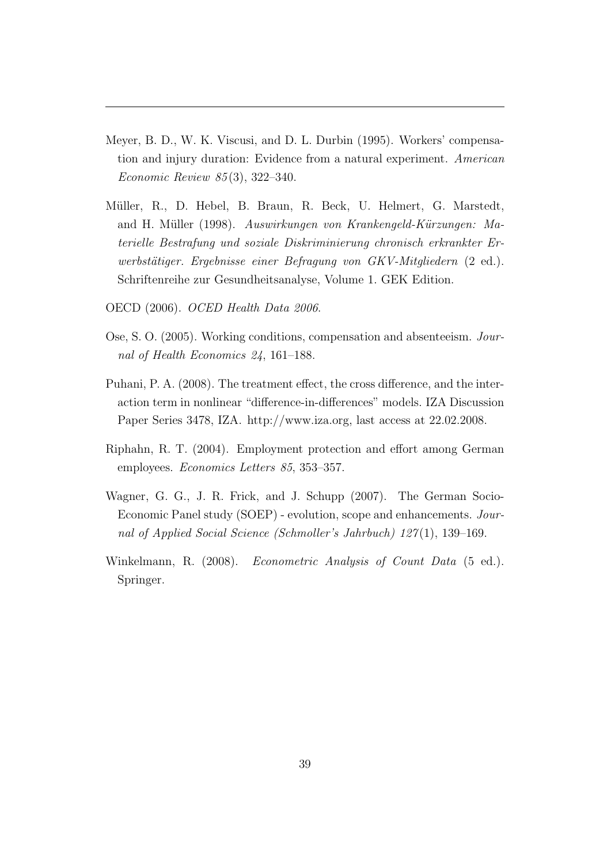- <span id="page-40-3"></span>Meyer, B. D., W. K. Viscusi, and D. L. Durbin (1995). Workers' compensation and injury duration: Evidence from a natural experiment. American Economic Review 85 (3), 322–340.
- <span id="page-40-7"></span>Müller, R., D. Hebel, B. Braun, R. Beck, U. Helmert, G. Marstedt, and H. Müller (1998). Auswirkungen von Krankengeld-Kürzungen: Materielle Bestrafung und soziale Diskriminierung chronisch erkrankter Erwerbstätiger. Ergebnisse einer Befragung von GKV-Mitgliedern (2 ed.). Schriftenreihe zur Gesundheitsanalyse, Volume 1. GEK Edition.
- <span id="page-40-0"></span>OECD (2006). OCED Health Data 2006.
- <span id="page-40-1"></span>Ose, S. O. (2005). Working conditions, compensation and absenteeism. Journal of Health Economics 24, 161–188.
- <span id="page-40-5"></span>Puhani, P. A. (2008). The treatment effect, the cross difference, and the interaction term in nonlinear "difference-in-differences" models. IZA Discussion Paper Series 3478, IZA. http://www.iza.org, last access at 22.02.2008.
- <span id="page-40-2"></span>Riphahn, R. T. (2004). Employment protection and effort among German employees. Economics Letters 85, 353–357.
- <span id="page-40-4"></span>Wagner, G. G., J. R. Frick, and J. Schupp (2007). The German Socio-Economic Panel study (SOEP) - evolution, scope and enhancements. Journal of Applied Social Science (Schmoller's Jahrbuch) 127 (1), 139–169.
- <span id="page-40-6"></span>Winkelmann, R. (2008). *Econometric Analysis of Count Data* (5 ed.). Springer.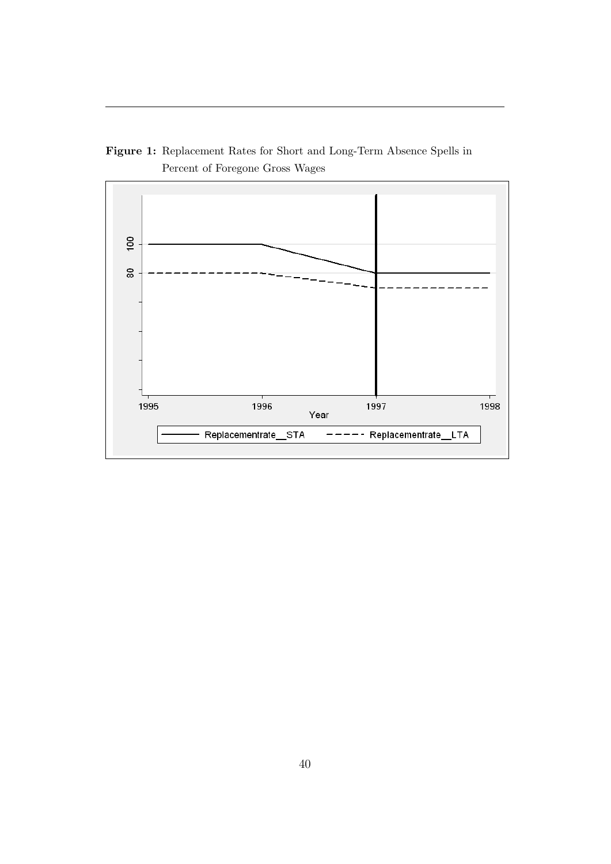

Figure 1: Replacement Rates for Short and Long-Term Absence Spells in Percent of Foregone Gross Wages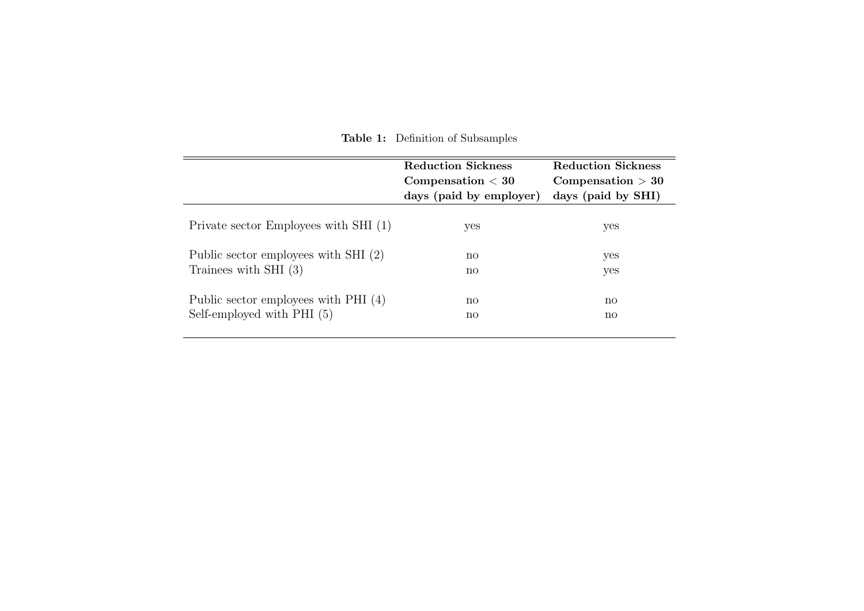|                                        | <b>Reduction Sickness</b><br>$\emph{Comparison} < 30$<br>days (paid by employer) | <b>Reduction Sickness</b><br>$\mathbf{Compensation} > 30$<br>days (paid by SHI) |  |  |
|----------------------------------------|----------------------------------------------------------------------------------|---------------------------------------------------------------------------------|--|--|
| Private sector Employees with SHI (1)  | yes                                                                              | yes                                                                             |  |  |
| Public sector employees with SHI (2)   | $\mathbf{n}\mathbf{o}$                                                           | yes                                                                             |  |  |
| Trainees with SHI $(3)$                | $\mathbf{n}\mathbf{o}$                                                           | yes                                                                             |  |  |
| Public sector employees with PHI $(4)$ | $\mathbf{n}\mathbf{o}$                                                           | $\mathbf{n}$                                                                    |  |  |
| Self-employed with $PHI(5)$            | $\mathbf{n}\mathbf{o}$                                                           | $\mathbf{n}\mathbf{o}$                                                          |  |  |

<span id="page-42-0"></span>Table 1: Definition of Subsamples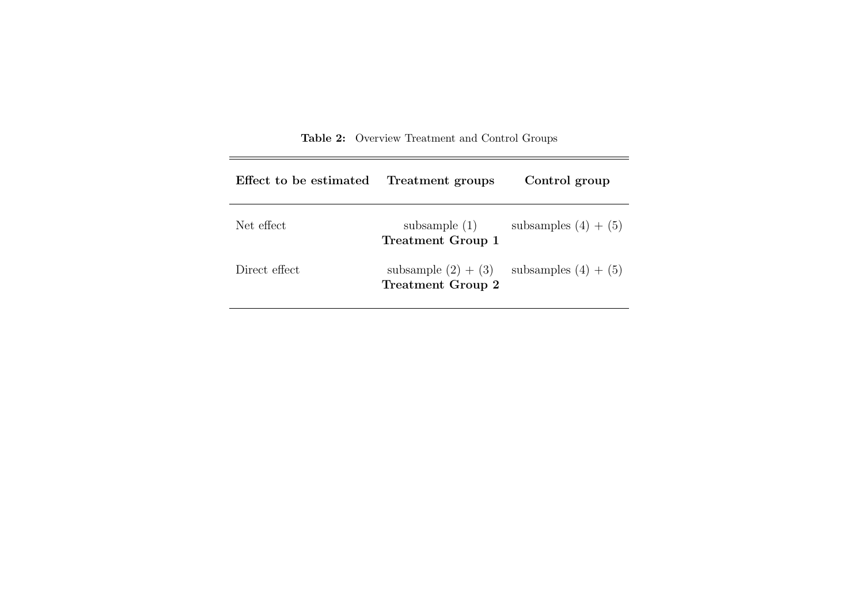| Effect to be estimated | Treatment groups                                  | Control group          |
|------------------------|---------------------------------------------------|------------------------|
| Net effect             | subsample $(1)$<br><b>Treatment Group 1</b>       | subsamples $(4) + (5)$ |
| Direct effect          | subsample $(2) + (3)$<br><b>Treatment Group 2</b> | subsamples $(4) + (5)$ |

Table 2: Overview Treatment and Control Groups

 $=$ 

<span id="page-43-0"></span>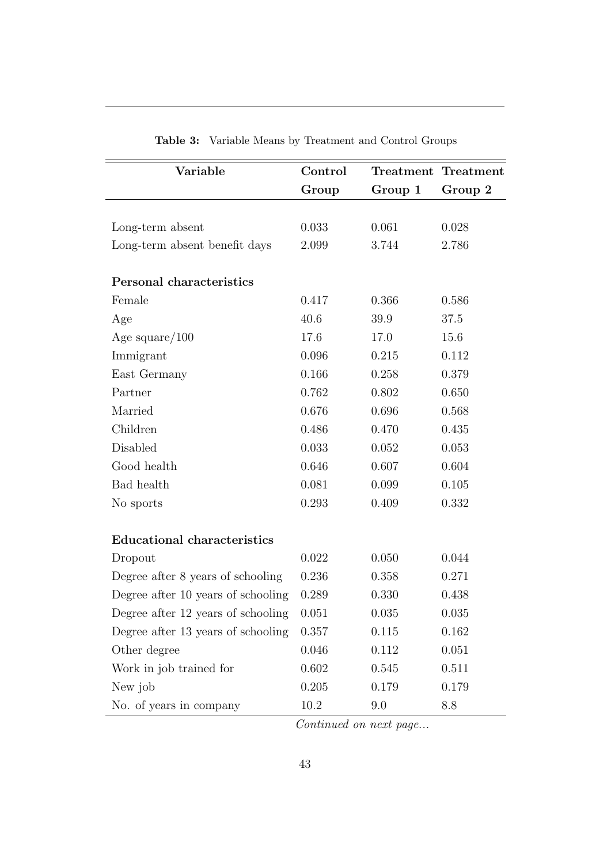<span id="page-44-0"></span>

| Variable                           | Control |         | <b>Treatment</b> Treatment |
|------------------------------------|---------|---------|----------------------------|
|                                    | Group   | Group 1 | Group 2                    |
|                                    |         |         |                            |
| Long-term absent                   | 0.033   | 0.061   | 0.028                      |
| Long-term absent benefit days      | 2.099   | 3.744   | 2.786                      |
| Personal characteristics           |         |         |                            |
| Female                             | 0.417   | 0.366   | 0.586                      |
| Age                                | 40.6    | 39.9    | 37.5                       |
| Age square/ $100$                  | 17.6    | 17.0    | 15.6                       |
| Immigrant                          | 0.096   | 0.215   | 0.112                      |
| East Germany                       | 0.166   | 0.258   | 0.379                      |
| Partner                            | 0.762   | 0.802   | 0.650                      |
| Married                            | 0.676   | 0.696   | 0.568                      |
| Children                           | 0.486   | 0.470   | 0.435                      |
| Disabled                           | 0.033   | 0.052   | 0.053                      |
| Good health                        | 0.646   | 0.607   | 0.604                      |
| Bad health                         | 0.081   | 0.099   | 0.105                      |
| No sports                          | 0.293   | 0.409   | 0.332                      |
| <b>Educational characteristics</b> |         |         |                            |
| Dropout                            | 0.022   | 0.050   | 0.044                      |
| Degree after 8 years of schooling  | 0.236   | 0.358   | 0.271                      |
| Degree after 10 years of schooling | 0.289   | 0.330   | 0.438                      |
| Degree after 12 years of schooling | 0.051   | 0.035   | 0.035                      |
| Degree after 13 years of schooling | 0.357   | 0.115   | 0.162                      |
| Other degree                       | 0.046   | 0.112   | 0.051                      |
| Work in job trained for            | 0.602   | 0.545   | 0.511                      |
| New job                            | 0.205   | 0.179   | 0.179                      |
| No. of years in company            | 10.2    | 9.0     | 8.8                        |

Table 3: Variable Means by Treatment and Control Groups

Continued on next page...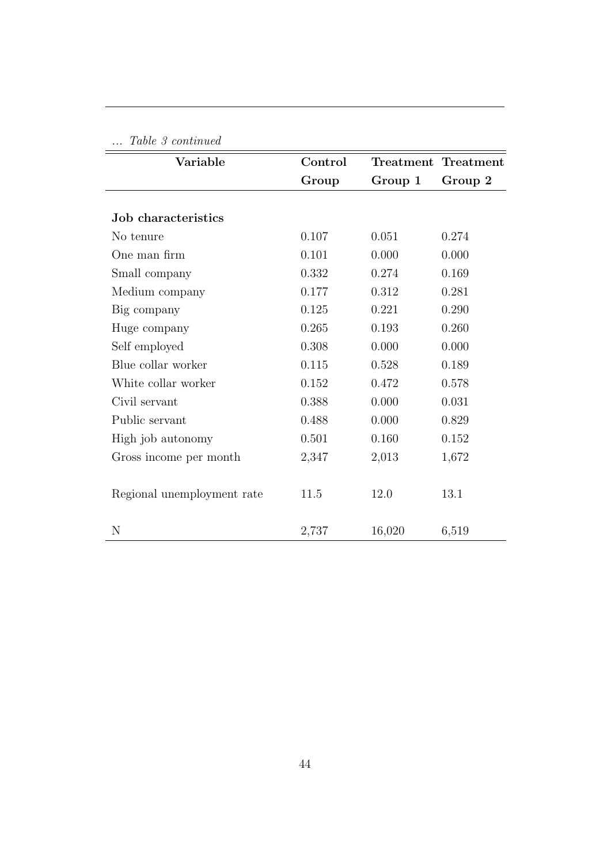| Table 3 continued          |         |         |                     |
|----------------------------|---------|---------|---------------------|
| Variable                   | Control |         | Treatment Treatment |
|                            | Group   | Group 1 | Group 2             |
|                            |         |         |                     |
| Job characteristics        |         |         |                     |
| No tenure                  | 0.107   | 0.051   | 0.274               |
| One man firm               | 0.101   | 0.000   | 0.000               |
| Small company              | 0.332   | 0.274   | 0.169               |
| Medium company             | 0.177   | 0.312   | 0.281               |
| Big company                | 0.125   | 0.221   | 0.290               |
| Huge company               | 0.265   | 0.193   | 0.260               |
| Self employed              | 0.308   | 0.000   | 0.000               |
| Blue collar worker         | 0.115   | 0.528   | 0.189               |
| White collar worker        | 0.152   | 0.472   | 0.578               |
| Civil servant              | 0.388   | 0.000   | 0.031               |
| Public servant             | 0.488   | 0.000   | 0.829               |
| High job autonomy          | 0.501   | 0.160   | 0.152               |
| Gross income per month     | 2,347   | 2,013   | 1,672               |
|                            |         |         |                     |
| Regional unemployment rate | 11.5    | 12.0    | 13.1                |
|                            |         |         |                     |
| N                          | 2,737   | 16,020  | 6,519               |

44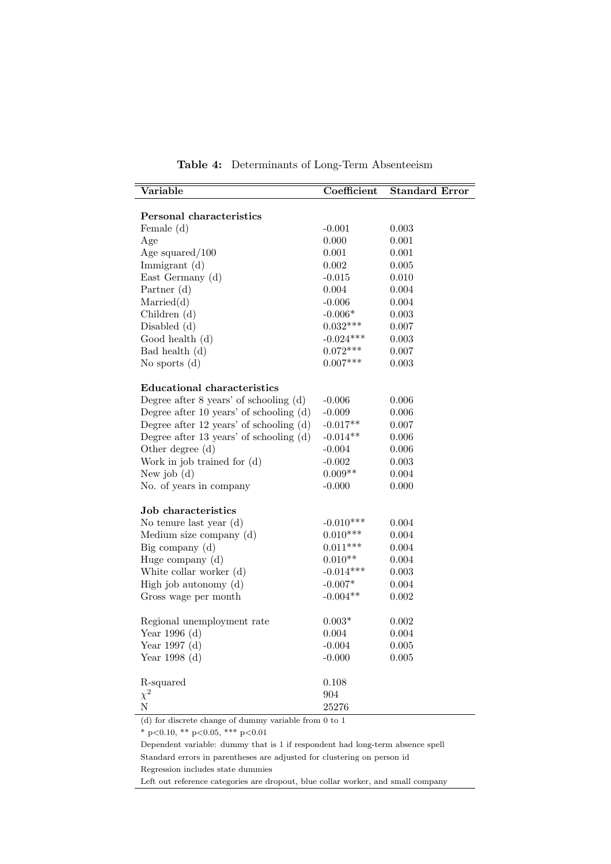<span id="page-46-0"></span>

| Variable                                    | Coefficient | <b>Standard Error</b> |
|---------------------------------------------|-------------|-----------------------|
|                                             |             |                       |
| Personal characteristics                    |             |                       |
| Female (d)                                  | $-0.001$    | 0.003                 |
| Age                                         | 0.000       | 0.001                 |
| Age squared/ $100$                          | 0.001       | 0.001                 |
| Immigrant $(d)$                             | 0.002       | 0.005                 |
| East Germany (d)                            | $-0.015$    | 0.010                 |
| Partner $(d)$                               | $0.004\,$   | 0.004                 |
| Married(d)                                  | $-0.006$    | 0.004                 |
| Children (d)                                | $-0.006*$   | 0.003                 |
| Disabled $(d)$                              | $0.032***$  | 0.007                 |
| Good health (d)                             | $-0.024***$ | 0.003                 |
| Bad health (d)                              | $0.072***$  | 0.007                 |
| No sports $(d)$                             | $0.007***$  | 0.003                 |
|                                             |             |                       |
| <b>Educational characteristics</b>          |             |                       |
| Degree after $8$ years' of schooling $(d)$  | $-0.006$    | 0.006                 |
| Degree after 10 years' of schooling $(d)$   | $-0.009$    | 0.006                 |
| Degree after $12$ years' of schooling $(d)$ | $-0.017**$  | 0.007                 |
| Degree after 13 years' of schooling $(d)$   | $-0.014**$  | 0.006                 |
| Other degree (d)                            | $-0.004$    | 0.006                 |
| Work in job trained for (d)                 | $-0.002$    | 0.003                 |
| New job $(d)$                               | $0.009**$   | 0.004                 |
| No. of years in company                     | $-0.000$    | 0.000                 |
| Job characteristics                         |             |                       |
| No tenure last year (d)                     | $-0.010***$ | 0.004                 |
| Medium size company (d)                     | $0.010***$  | 0.004                 |
| Big company $(d)$                           | $0.011***$  | 0.004                 |
| Huge company (d)                            | $0.010**$   | 0.004                 |
| White collar worker (d)                     | $-0.014***$ | 0.003                 |
| High job autonomy (d)                       | $-0.007*$   | 0.004                 |
| Gross wage per month                        | $-0.004**$  | 0.002                 |
|                                             |             |                       |
| Regional unemployment rate                  | $0.003*$    | 0.002                 |
| Year $1996$ (d)                             | 0.004       | 0.004                 |
| Year 1997 (d)                               | $-0.004$    | 0.005                 |
| Year $1998(d)$                              | $-0.000$    | 0.005                 |
|                                             |             |                       |
| R-squared                                   | 0.108       |                       |
| $\chi^2$                                    | 904         |                       |
| $\overline{N}$                              | 25276       |                       |

Table 4: Determinants of Long-Term Absenteeism

 $^*$  p<0.10,  $^{**}$  p<0.05,  $^{***}$  p<0.01

Dependent variable: dummy that is 1 if respondent had long-term absence spell Standard errors in parentheses are adjusted for clustering on person id Regression includes state dummies

Left out reference categories are dropout, blue collar worker, and small company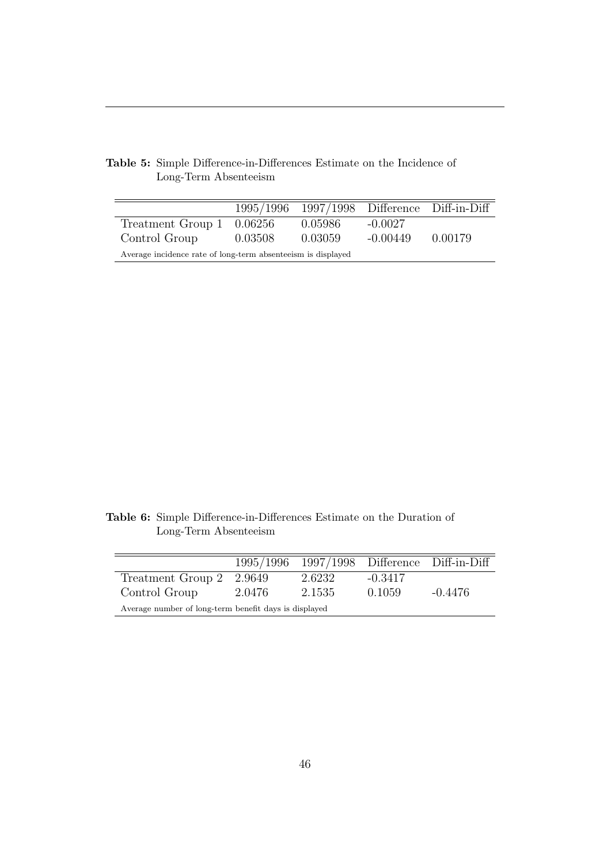|                                                              |         |         |            | 1995/1996 1997/1998 Difference Diff-in-Diff |  |  |
|--------------------------------------------------------------|---------|---------|------------|---------------------------------------------|--|--|
| Treatment Group $1 \quad 0.06256$                            |         | 0.05986 | $-0.0027$  |                                             |  |  |
| Control Group                                                | 0.03508 | 0.03059 | $-0.00449$ | 0.00179                                     |  |  |
| Average incidence rate of long-term absenteeism is displayed |         |         |            |                                             |  |  |

<span id="page-47-0"></span>Table 5: Simple Difference-in-Differences Estimate on the Incidence of Long-Term Absenteeism

<span id="page-47-1"></span>Table 6: Simple Difference-in-Differences Estimate on the Duration of Long-Term Absenteeism

|                                                       |          | 1995/1996 1997/1998 Difference Diff-in-Diff |           |           |  |  |
|-------------------------------------------------------|----------|---------------------------------------------|-----------|-----------|--|--|
| Treatment Group 2                                     | - 2.9649 | 2.6232                                      | $-0.3417$ |           |  |  |
| Control Group                                         | 2.0476   | 2.1535                                      | 0.1059    | $-0.4476$ |  |  |
| Average number of long-term benefit days is displayed |          |                                             |           |           |  |  |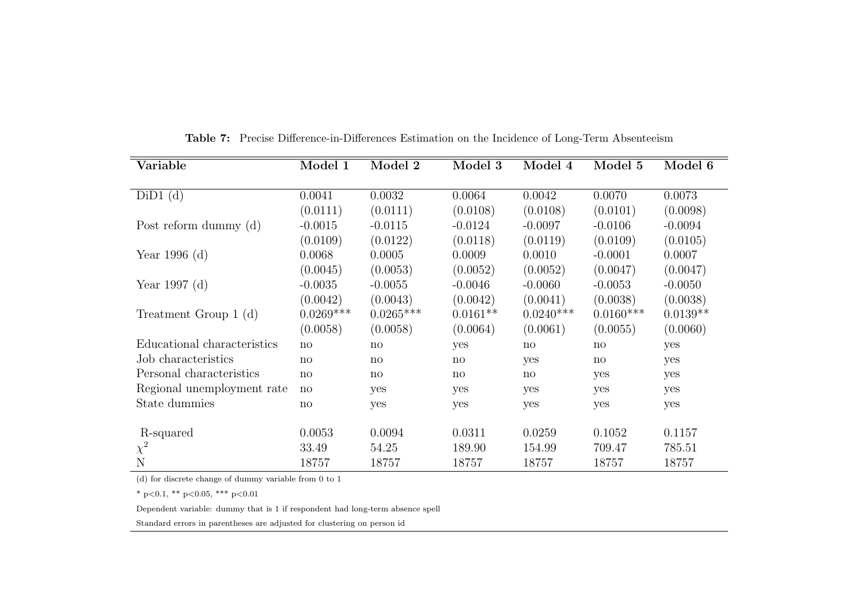| Variable                    | Model 1      | Model 2      | Model 3      | Model 4      | Model 5      | Model 6    |
|-----------------------------|--------------|--------------|--------------|--------------|--------------|------------|
|                             |              |              |              |              |              |            |
| $DiD1$ (d)                  | 0.0041       | 0.0032       | 0.0064       | 0.0042       | 0.0070       | 0.0073     |
|                             | (0.0111)     | (0.0111)     | (0.0108)     | (0.0108)     | (0.0101)     | (0.0098)   |
| Post reform dummy $(d)$     | $-0.0015$    | $-0.0115$    | $-0.0124$    | $-0.0097$    | $-0.0106$    | $-0.0094$  |
|                             | (0.0109)     | (0.0122)     | (0.0118)     | (0.0119)     | (0.0109)     | (0.0105)   |
| Year 1996 (d)               | 0.0068       | 0.0005       | 0.0009       | 0.0010       | $-0.0001$    | 0.0007     |
|                             | (0.0045)     | (0.0053)     | (0.0052)     | (0.0052)     | (0.0047)     | (0.0047)   |
| Year 1997 $(d)$             | $-0.0035$    | $-0.0055$    | $-0.0046$    | $-0.0060$    | $-0.0053$    | $-0.0050$  |
|                             | (0.0042)     | (0.0043)     | (0.0042)     | (0.0041)     | (0.0038)     | (0.0038)   |
| Treatment Group $1(d)$      | $0.0269***$  | $0.0265***$  | $0.0161**$   | $0.0240***$  | $0.0160***$  | $0.0139**$ |
|                             | (0.0058)     | (0.0058)     | (0.0064)     | (0.0061)     | (0.0055)     | (0.0060)   |
| Educational characteristics | no           | no           | yes          | $\mathbf{n}$ | $\mathbf{n}$ | yes        |
| Job characteristics         | $\mathbf{n}$ | $\mathbf{n}$ | $\mathbf{n}$ | yes          | $\mathbf{n}$ | yes        |
| Personal characteristics    | no           | $\mathbf{n}$ | $\mathbf{n}$ | $\mathbf{n}$ | yes          | yes        |
| Regional unemployment rate  | $\mathbf{n}$ | yes          | yes          | yes          | yes          | yes        |
| State dummies               | $\mathbf{n}$ | yes          | yes          | yes          | yes          | yes        |
| R-squared                   | 0.0053       | 0.0094       | 0.0311       | 0.0259       | 0.1052       | 0.1157     |
| $\chi^2$                    | 33.49        | 54.25        | 189.90       | 154.99       | 709.47       | 785.51     |
| N                           | 18757        | 18757        | 18757        | 18757        | 18757        | 18757      |

Table 7: Precise Difference-in-Differences Estimation on the Incidence of Long-Term Absenteeism

<span id="page-48-0"></span>\* p<0.1, \*\* p<0.05, \*\*\* p<0.01

Dependent variable: dummy that is 1 if respondent had long-term absence spell

Standard errors in parentheses are adjusted for clustering on person id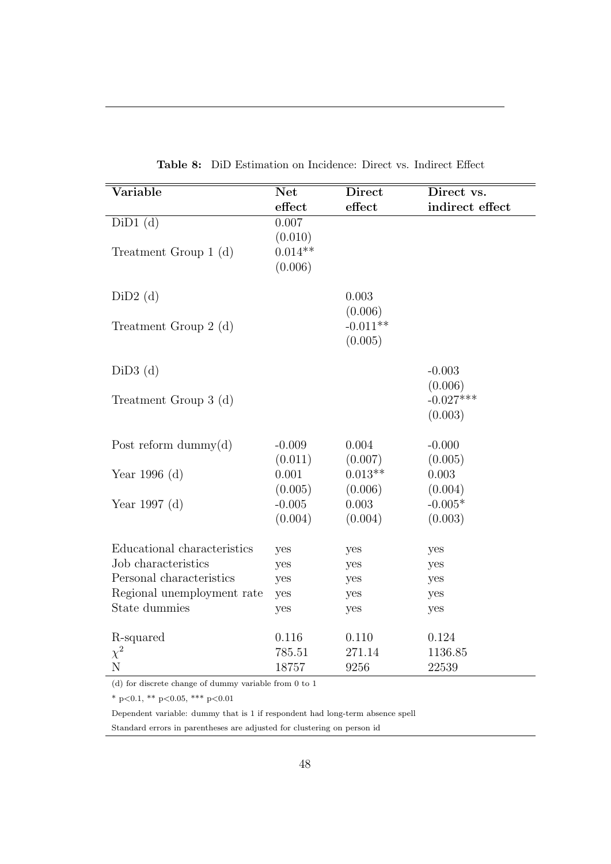<span id="page-49-0"></span>

| <b>Net</b>                               |                                       | Direct vs.                                                       |
|------------------------------------------|---------------------------------------|------------------------------------------------------------------|
| effect                                   | effect                                | indirect effect                                                  |
| 0.007<br>(0.010)<br>$0.014**$<br>(0.006) |                                       |                                                                  |
|                                          | 0.003                                 |                                                                  |
|                                          | $-0.011**$<br>(0.005)                 |                                                                  |
|                                          |                                       | $-0.003$<br>(0.006)                                              |
|                                          |                                       | $-0.027***$<br>(0.003)                                           |
| $-0.009$                                 | 0.004                                 | $-0.000$                                                         |
| 0.001                                    | $0.013**$                             | (0.005)<br>0.003<br>(0.004)                                      |
| $-0.005$<br>(0.004)                      | 0.003<br>(0.004)                      | $-0.005*$<br>(0.003)                                             |
| yes                                      | yes                                   | yes                                                              |
| yes                                      | yes                                   | yes                                                              |
| yes                                      | yes                                   | yes                                                              |
| yes                                      | yes                                   | yes                                                              |
| yes                                      | yes                                   | yes                                                              |
| 0.116                                    | 0.110                                 | 0.124                                                            |
|                                          |                                       | 1136.85<br>22539                                                 |
|                                          | (0.011)<br>(0.005)<br>785.51<br>18757 | <b>Direct</b><br>(0.006)<br>(0.007)<br>(0.006)<br>271.14<br>9256 |

Table 8: DiD Estimation on Incidence: Direct vs. Indirect Effect

\* p<0.1, \*\* p<0.05, \*\*\* p<0.01

Dependent variable: dummy that is 1 if respondent had long-term absence spell

Standard errors in parentheses are adjusted for clustering on person id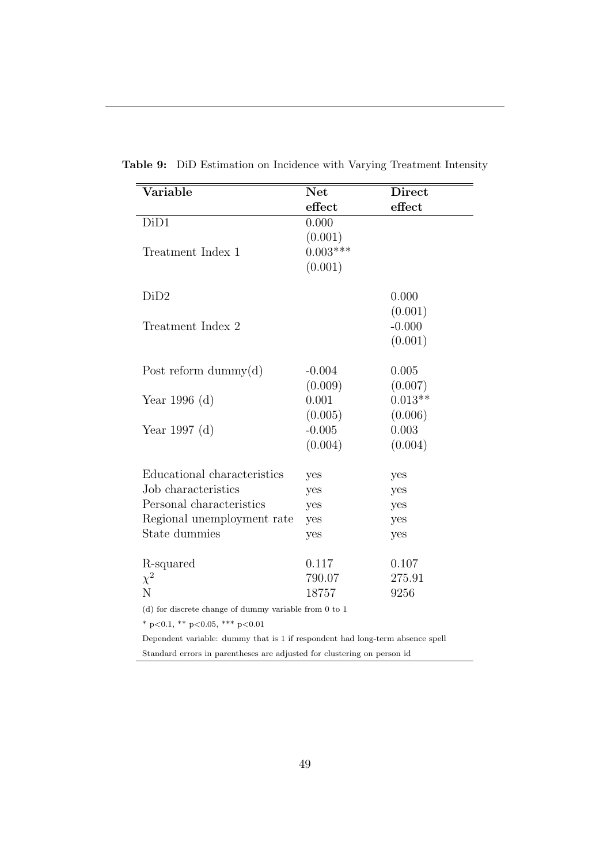| Variable                                                | <b>Net</b> | <b>Direct</b> |
|---------------------------------------------------------|------------|---------------|
|                                                         | effect     | effect        |
| DiD1                                                    | 0.000      |               |
|                                                         | (0.001)    |               |
| Treatment Index 1                                       | $0.003***$ |               |
|                                                         | (0.001)    |               |
| DiD2                                                    |            | 0.000         |
|                                                         |            | (0.001)       |
| Treatment Index 2                                       |            | $-0.000$      |
|                                                         |            | (0.001)       |
|                                                         |            |               |
| Post reform dummy $(d)$                                 | $-0.004$   | 0.005         |
|                                                         | (0.009)    | (0.007)       |
| Year 1996 (d)                                           | 0.001      | $0.013**$     |
|                                                         | (0.005)    | (0.006)       |
| Year 1997 (d)                                           | $-0.005$   | 0.003         |
|                                                         | (0.004)    | (0.004)       |
| Educational characteristics                             | yes        | yes           |
| Job characteristics                                     | yes        | yes           |
| Personal characteristics                                | yes        | yes           |
| Regional unemployment rate                              | yes        | yes           |
| State dummies                                           | yes        | yes           |
| R-squared                                               | 0.117      | 0.107         |
| $\chi^2$                                                | 790.07     | 275.91        |
| N                                                       | 18757      | 9256          |
| $(d)$ for discrete change of dummy variable from 0 to 1 |            |               |
| * p<0.1, ** p<0.05, *** p<0.01                          |            |               |

<span id="page-50-0"></span>Table 9: DiD Estimation on Incidence with Varying Treatment Intensity

Standard errors in parentheses are adjusted for clustering on person id

Dependent variable: dummy that is 1 if respondent had long-term absence spell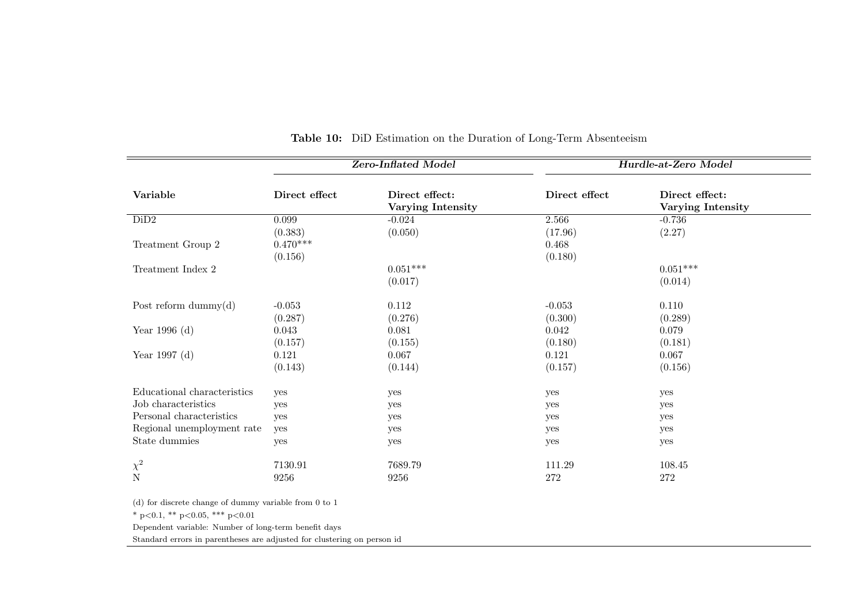|                                                                                                                                                               |                                  | <b>Zero-Inflated Model</b>                 | Hurdle-at-Zero Model        |                                     |  |
|---------------------------------------------------------------------------------------------------------------------------------------------------------------|----------------------------------|--------------------------------------------|-----------------------------|-------------------------------------|--|
| Variable                                                                                                                                                      | Direct effect                    | Direct effect:<br><b>Varying Intensity</b> | Direct effect               | Direct effect:<br>Varying Intensity |  |
| DiD2                                                                                                                                                          | 0.099                            | $-0.024$                                   | 2.566                       | $-0.736$                            |  |
| Treatment Group 2                                                                                                                                             | (0.383)<br>$0.470***$<br>(0.156) | (0.050)                                    | (17.96)<br>0.468<br>(0.180) | (2.27)                              |  |
| Treatment Index 2                                                                                                                                             | $0.051***$<br>(0.017)            |                                            |                             | $0.051***$<br>(0.014)               |  |
| Post reform dummy $(d)$<br>$-0.053$<br>(0.287)                                                                                                                |                                  | 0.112<br>$-0.053$<br>(0.276)<br>(0.300)    |                             | 0.110<br>(0.289)                    |  |
| Year 1996 (d)                                                                                                                                                 | 0.043<br>(0.157)                 | 0.081<br>(0.155)                           | 0.042<br>(0.180)            | 0.079<br>(0.181)                    |  |
| Year 1997 (d)                                                                                                                                                 | 0.121<br>(0.143)                 | 0.067<br>(0.144)                           | 0.121<br>(0.157)            | 0.067<br>(0.156)                    |  |
| Educational characteristics                                                                                                                                   | yes                              | yes                                        | yes                         | yes                                 |  |
| Job characteristics                                                                                                                                           | yes                              | yes                                        | yes                         | yes                                 |  |
| Personal characteristics                                                                                                                                      | yes                              | yes                                        | yes                         | yes                                 |  |
| Regional unemployment rate                                                                                                                                    | yes                              | yes                                        | yes                         | yes                                 |  |
| State dummies                                                                                                                                                 | yes                              | yes                                        | yes                         | yes                                 |  |
|                                                                                                                                                               | 7130.91                          | 7689.79                                    | 111.29                      | 108.45                              |  |
|                                                                                                                                                               | 9256                             | 9256                                       | 272                         | 272                                 |  |
| $\chi^2$<br>$(d)$ for discrete change of dummy variable from 0 to 1<br>* p<0.1, ** p<0.05, *** p<0.01<br>Dependent variable: Number of long-term benefit days |                                  |                                            |                             |                                     |  |

#### <span id="page-51-0"></span>Table 10: DiD Estimation on the Duration of Long-Term Absenteeism

Standard errors in parentheses are adjusted for clustering on person id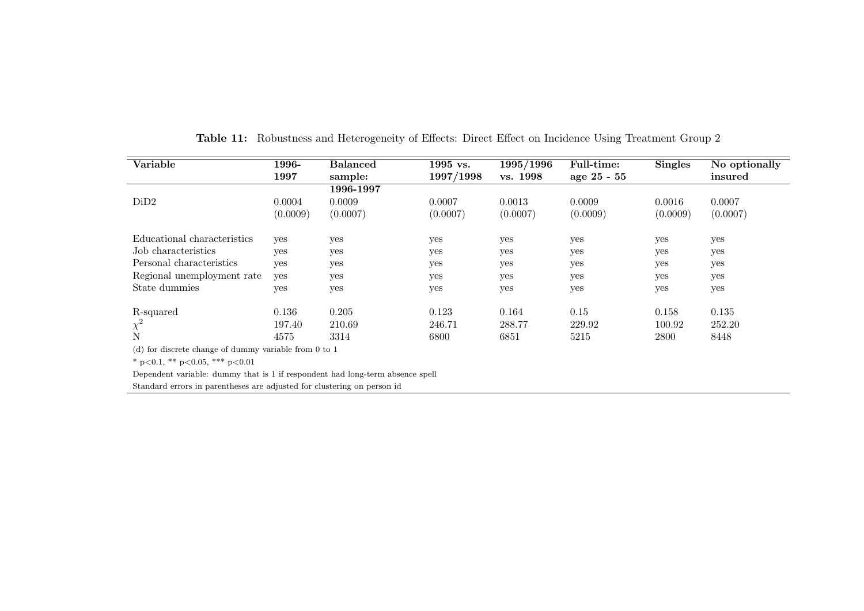| Variable                                                                      | 1996-    | <b>Balanced</b> | 1995 vs.  | 1995/1996 | <b>Full-time:</b> | <b>Singles</b> | No optionally |
|-------------------------------------------------------------------------------|----------|-----------------|-----------|-----------|-------------------|----------------|---------------|
|                                                                               | 1997     | sample:         | 1997/1998 | vs. 1998  | age 25 - 55       |                | insured       |
|                                                                               |          | 1996-1997       |           |           |                   |                |               |
| DiD2                                                                          | 0.0004   | 0.0009          | 0.0007    | 0.0013    | 0.0009            | 0.0016         | 0.0007        |
|                                                                               | (0.0009) | (0.0007)        | (0.0007)  | (0.0007)  | (0.0009)          | (0.0009)       | (0.0007)      |
| Educational characteristics                                                   | yes      | yes             | yes       | yes       | yes               | yes            | yes           |
| Job characteristics                                                           | yes      | yes             | yes       | yes       | yes               | yes            | yes           |
| Personal characteristics                                                      | yes      | yes             | yes       | yes       | yes               | yes            | yes           |
| Regional unemployment rate                                                    | yes      | yes             | yes       | yes       | yes               | yes            | yes           |
| State dummies                                                                 | yes      | yes             | yes       | yes       | yes               | yes            | yes           |
| R-squared                                                                     | 0.136    | 0.205           | 0.123     | 0.164     | 0.15              | 0.158          | 0.135         |
| $\chi^2$                                                                      | 197.40   | 210.69          | 246.71    | 288.77    | 229.92            | 100.92         | 252.20        |
| N                                                                             | 4575     | 3314            | 6800      | 6851      | 5215              | 2800           | 8448          |
| $(d)$ for discrete change of dummy variable from 0 to 1                       |          |                 |           |           |                   |                |               |
| * $p<0.1$ , ** $p<0.05$ , *** $p<0.01$                                        |          |                 |           |           |                   |                |               |
| Dependent variable: dummy that is 1 if respondent had long-term absence spell |          |                 |           |           |                   |                |               |
| Standard errors in parentheses are adjusted for clustering on person id       |          |                 |           |           |                   |                |               |

<span id="page-52-0"></span>Table 11: Robustness and Heterogeneity of Effects: Direct Effect on Incidence Using Treatment Group <sup>2</sup>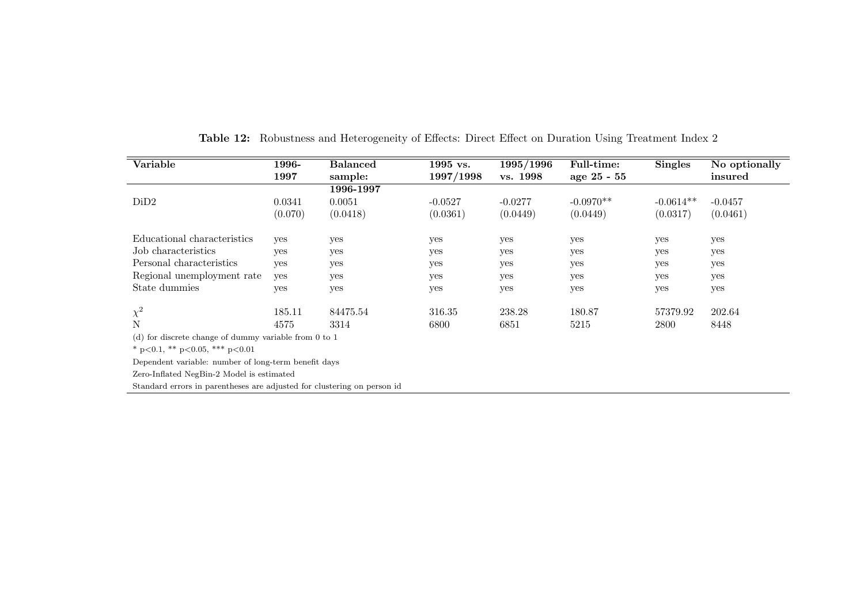| Variable                                                                | 1996-   | <b>Balanced</b> | 1995 vs.  | 1995/1996 | <b>Full-time:</b> | <b>Singles</b> | No optionally |
|-------------------------------------------------------------------------|---------|-----------------|-----------|-----------|-------------------|----------------|---------------|
|                                                                         | 1997    | sample:         | 1997/1998 | vs. 1998  | age 25 - 55       |                | insured       |
|                                                                         |         | 1996-1997       |           |           |                   |                |               |
| DiD2                                                                    | 0.0341  | 0.0051          | $-0.0527$ | $-0.0277$ | $-0.0970**$       | $-0.0614**$    | $-0.0457$     |
|                                                                         | (0.070) | (0.0418)        | (0.0361)  | (0.0449)  | (0.0449)          | (0.0317)       | (0.0461)      |
| Educational characteristics                                             | yes     | yes             | yes       | yes       | yes               | yes            | yes           |
| Job characteristics                                                     | yes     | yes             | yes       | yes       | yes               | yes            | yes           |
| Personal characteristics                                                | yes     | yes             | yes       | yes       | yes               | yes            | yes           |
| Regional unemployment rate                                              | yes     | yes             | yes       | yes       | yes               | yes            | yes           |
| State dummies                                                           | yes     | yes             | yes       | yes       | yes               | yes            | yes           |
| $\chi^2$                                                                | 185.11  | 84475.54        | 316.35    | 238.28    | 180.87            | 57379.92       | 202.64        |
| N                                                                       | 4575    | 3314            | 6800      | 6851      | 5215              | 2800           | 8448          |
| (d) for discrete change of dummy variable from $0$ to $1$               |         |                 |           |           |                   |                |               |
| * $p<0.1$ , ** $p<0.05$ , *** $p<0.01$                                  |         |                 |           |           |                   |                |               |
| Dependent variable: number of long-term benefit days                    |         |                 |           |           |                   |                |               |
| Zero-Inflated NegBin-2 Model is estimated                               |         |                 |           |           |                   |                |               |
| Standard errors in parentheses are adjusted for clustering on person id |         |                 |           |           |                   |                |               |

<span id="page-53-0"></span>Table 12: Robustness and Heterogeneity of Effects: Direct Effect on Duration Using Treatment Index <sup>2</sup>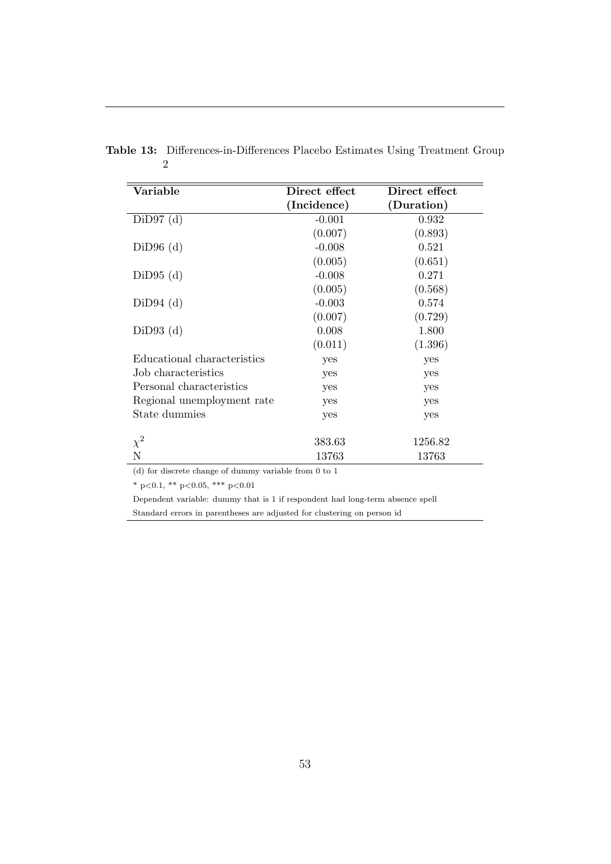| Variable                    | Direct effect | Direct effect |
|-----------------------------|---------------|---------------|
|                             | (Incidence)   | (Duration)    |
| $DiD97$ (d)                 | $-0.001$      | 0.932         |
|                             | (0.007)       | (0.893)       |
| $DiD96$ (d)                 | $-0.008$      | 0.521         |
|                             | (0.005)       | (0.651)       |
| $DiD95$ (d)                 | $-0.008$      | 0.271         |
|                             | (0.005)       | (0.568)       |
| $DiD94$ (d)                 | $-0.003$      | 0.574         |
|                             | (0.007)       | (0.729)       |
| $DiD93$ (d)                 | 0.008         | 1.800         |
|                             | (0.011)       | (1.396)       |
| Educational characteristics | yes           | yes           |
| Job characteristics         | yes           | yes           |
| Personal characteristics    | yes           | yes           |
| Regional unemployment rate  | yes           | yes           |
| State dummies               | yes           | yes           |
|                             |               |               |
| $\chi^2$                    | 383.63        | 1256.82       |
| Ν                           | 13763         | 13763         |

<span id="page-54-0"></span>Table 13: Differences-in-Differences Placebo Estimates Using Treatment Group 2

\* p<0.1, \*\* p<0.05, \*\*\* p<0.01

Dependent variable: dummy that is 1 if respondent had long-term absence spell Standard errors in parentheses are adjusted for clustering on person id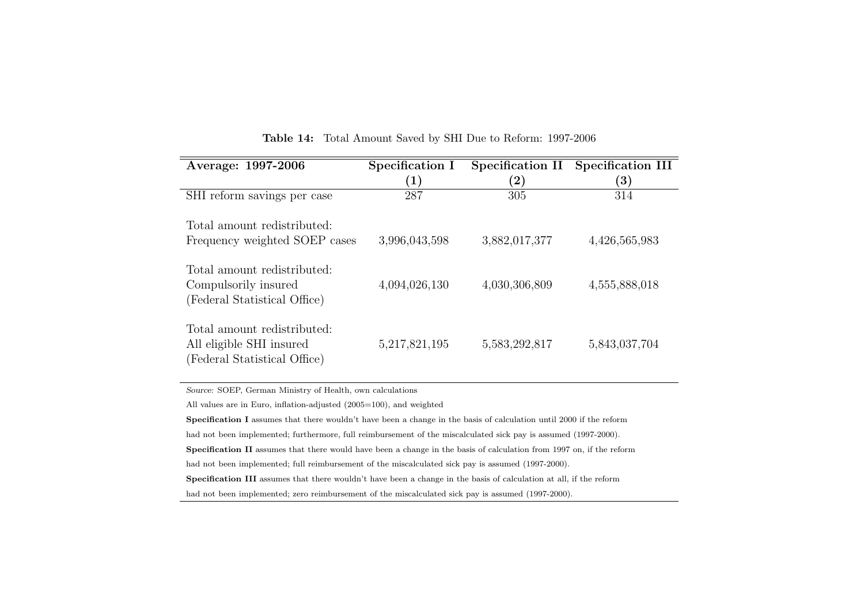| Average: 1997-2006                                                                      | Specification I<br>$\left( 1\right)$ | Specification II<br>$\bf (2)$ | <b>Specification III</b><br>$\bf (3)$ |
|-----------------------------------------------------------------------------------------|--------------------------------------|-------------------------------|---------------------------------------|
| SHI reform savings per case                                                             | 287                                  | 305                           | 314                                   |
| Total amount redistributed:<br>Frequency weighted SOEP cases                            | 3,996,043,598                        | 3,882,017,377                 | 4,426,565,983                         |
| Total amount redistributed:<br>Compulsorily insured<br>(Federal Statistical Office)     | 4,094,026,130                        | 4,030,306,809                 | 4,555,888,018                         |
| Total amount redistributed:<br>All eligible SHI insured<br>(Federal Statistical Office) | 5,217,821,195                        | 5,583,292,817                 | 5,843,037,704                         |

Table 14: Total Amount Saved by SHI Due to Reform: 1997-2006

<span id="page-55-0"></span>Source: SOEP, German Ministry of Health, own calculations

All values are in Euro, inflation-adjusted (2005=100), and weighted

Specification I assumes that there wouldn't have been <sup>a</sup> change in the basis of calculation until <sup>2000</sup> if the reform

had not been implemented; furthermore, full reimbursement of the miscalculated sick pay is assumed (1997-2000).

Specification II assumes that there would have been <sup>a</sup> change in the basis of calculation from <sup>1997</sup> on, if the reform

had not been implemented; full reimbursement of the miscalculated sick pay is assumed (1997-2000).

Specification III assumes that there wouldn't have been <sup>a</sup> change in the basis of calculation at all, if the reform

had not been implemented; zero reimbursement of the miscalculated sick pay is assumed (1997-2000).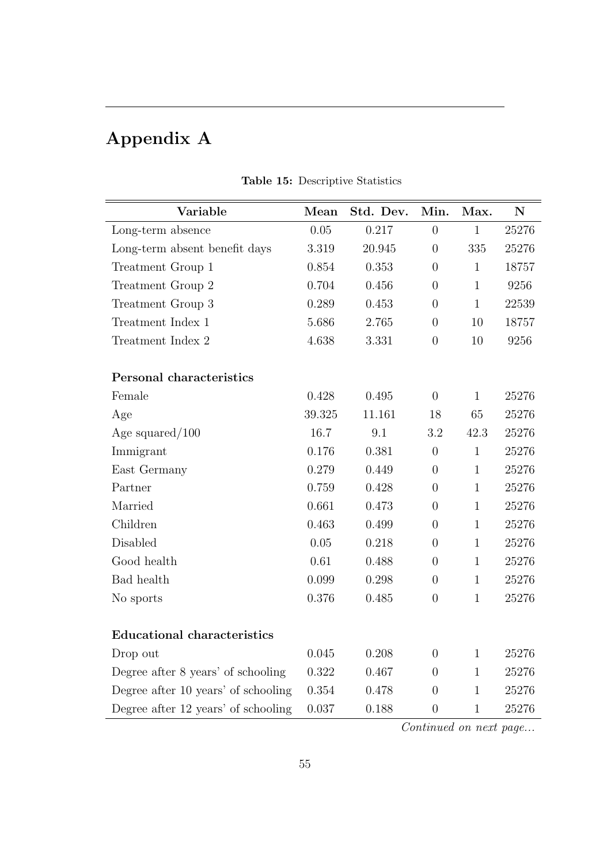# Appendix A

| Variable                            | Mean   | Std. Dev. | Min.           | Max.         | $\mathbf N$ |
|-------------------------------------|--------|-----------|----------------|--------------|-------------|
| Long-term absence                   | 0.05   | 0.217     | $\theta$       | $\mathbf{1}$ | 25276       |
| Long-term absent benefit days       | 3.319  | 20.945    | $\overline{0}$ | 335          | 25276       |
| Treatment Group 1                   | 0.854  | 0.353     | $\overline{0}$ | $\mathbf{1}$ | 18757       |
| Treatment Group 2                   | 0.704  | 0.456     | $\overline{0}$ | $\mathbf{1}$ | 9256        |
| Treatment Group 3                   | 0.289  | 0.453     | $\overline{0}$ | $\mathbf{1}$ | 22539       |
| Treatment Index 1                   | 5.686  | 2.765     | $\overline{0}$ | 10           | 18757       |
| Treatment Index 2                   | 4.638  | 3.331     | $\overline{0}$ | 10           | 9256        |
| Personal characteristics            |        |           |                |              |             |
| Female                              | 0.428  | 0.495     | $\overline{0}$ | $\mathbf{1}$ | 25276       |
| Age                                 | 39.325 | 11.161    | 18             | 65           | 25276       |
| Age squared/ $100$                  | 16.7   | 9.1       | 3.2            | 42.3         | 25276       |
| Immigrant                           | 0.176  | 0.381     | $\overline{0}$ | $\mathbf{1}$ | 25276       |
| East Germany                        | 0.279  | 0.449     | $\overline{0}$ | $\mathbf{1}$ | 25276       |
| Partner                             | 0.759  | 0.428     | $\overline{0}$ | $\mathbf{1}$ | 25276       |
| Married                             | 0.661  | 0.473     | $\overline{0}$ | $\mathbf{1}$ | 25276       |
| Children                            | 0.463  | 0.499     | $\overline{0}$ | $\mathbf{1}$ | 25276       |
| Disabled                            | 0.05   | 0.218     | $\overline{0}$ | $\mathbf{1}$ | 25276       |
| Good health                         | 0.61   | 0.488     | $\overline{0}$ | $\mathbf{1}$ | 25276       |
| Bad health                          | 0.099  | 0.298     | $\overline{0}$ | $\mathbf{1}$ | 25276       |
| No sports                           | 0.376  | 0.485     | $\overline{0}$ | $\mathbf{1}$ | 25276       |
| <b>Educational characteristics</b>  |        |           |                |              |             |
| Drop out                            | 0.045  | 0.208     | $\overline{0}$ | $\mathbf{1}$ | 25276       |
| Degree after 8 years' of schooling  | 0.322  | 0.467     | $\overline{0}$ | $\mathbf{1}$ | 25276       |
| Degree after 10 years' of schooling | 0.354  | 0.478     | $\overline{0}$ | $\mathbf{1}$ | 25276       |
| Degree after 12 years' of schooling | 0.037  | 0.188     | $\overline{0}$ | $\mathbf{1}$ | 25276       |

Table 15: Descriptive Statistics

Continued on next page...